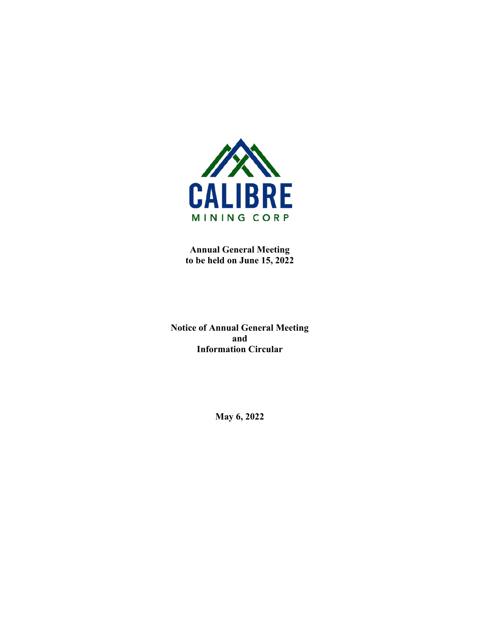

**Annual General Meeting to be held on June 15, 2022**

**Notice of Annual General Meeting and Information Circular**

**May 6, 2022**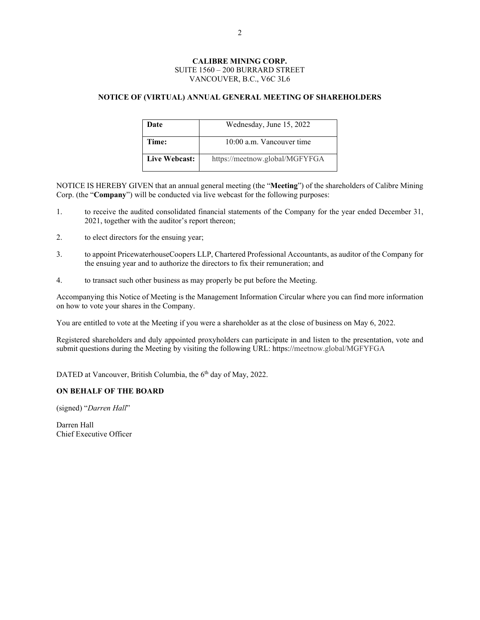# **CALIBRE MINING CORP.** SUITE 1560 – 200 BURRARD STREET VANCOUVER, B.C., V6C 3L6

# **NOTICE OF (VIRTUAL) ANNUAL GENERAL MEETING OF SHAREHOLDERS**

| Date          | Wednesday, June 15, 2022       |
|---------------|--------------------------------|
| Time:         | 10:00 a.m. Vancouver time      |
| Live Webcast: | https://meetnow.global/MGFYFGA |

NOTICE IS HEREBY GIVEN that an annual general meeting (the "**Meeting**") of the shareholders of Calibre Mining Corp. (the "**Company**") will be conducted via live webcast for the following purposes:

- 1. to receive the audited consolidated financial statements of the Company for the year ended December 31, 2021, together with the auditor's report thereon;
- 2. to elect directors for the ensuing year;
- 3. to appoint PricewaterhouseCoopers LLP, Chartered Professional Accountants, as auditor of the Company for the ensuing year and to authorize the directors to fix their remuneration; and
- 4. to transact such other business as may properly be put before the Meeting.

Accompanying this Notice of Meeting is the Management Information Circular where you can find more information on how to vote your shares in the Company.

You are entitled to vote at the Meeting if you were a shareholder as at the close of business on May 6, 2022.

Registered shareholders and duly appointed proxyholders can participate in and listen to the presentation, vote and submit questions during the Meeting by visiting the following URL: https://meetnow.global/MGFYFGA

DATED at Vancouver, British Columbia, the 6<sup>th</sup> day of May, 2022.

# **ON BEHALF OF THE BOARD**

(signed) "*Darren Hall*"

Darren Hall Chief Executive Officer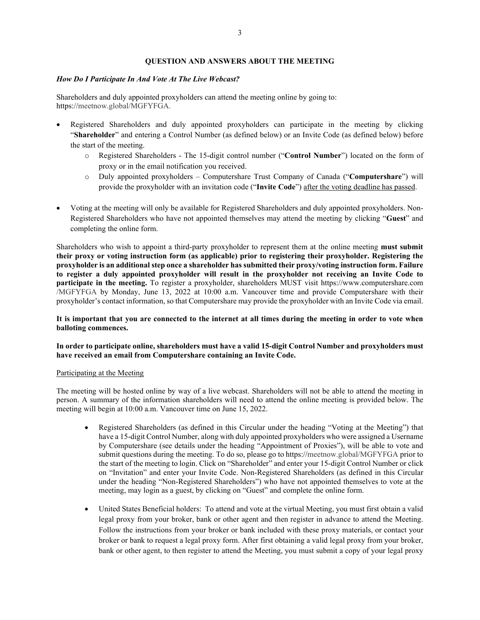# **QUESTION AND ANSWERS ABOUT THE MEETING**

# *How Do I Participate In And Vote At The Live Webcast?*

Shareholders and duly appointed proxyholders can attend the meeting online by going to: https://meetnow.global/MGFYFGA.

- Registered Shareholders and duly appointed proxyholders can participate in the meeting by clicking "**Shareholder**" and entering a Control Number (as defined below) or an Invite Code (as defined below) before the start of the meeting.
	- o Registered Shareholders The 15-digit control number ("**Control Number**") located on the form of proxy or in the email notification you received.
	- o Duly appointed proxyholders Computershare Trust Company of Canada ("**Computershare**") will provide the proxyholder with an invitation code ("**Invite Code**") after the voting deadline has passed.
- Voting at the meeting will only be available for Registered Shareholders and duly appointed proxyholders. Non-Registered Shareholders who have not appointed themselves may attend the meeting by clicking "**Guest**" and completing the online form.

Shareholders who wish to appoint a third-party proxyholder to represent them at the online meeting **must submit their proxy or voting instruction form (as applicable) prior to registering their proxyholder. Registering the proxyholder is an additional step once a shareholder has submitted their proxy/voting instruction form. Failure to register a duly appointed proxyholder will result in the proxyholder not receiving an Invite Code to participate in the meeting.** To register a proxyholder, shareholders MUST visit https://www.computershare.com /MGFYFGA by Monday, June 13, 2022 at 10:00 a.m. Vancouver time and provide Computershare with their proxyholder's contact information, so that Computershare may provide the proxyholder with an Invite Code via email.

# **It is important that you are connected to the internet at all times during the meeting in order to vote when balloting commences.**

# **In order to participate online, shareholders must have a valid 15-digit Control Number and proxyholders must have received an email from Computershare containing an Invite Code.**

### Participating at the Meeting

The meeting will be hosted online by way of a live webcast. Shareholders will not be able to attend the meeting in person. A summary of the information shareholders will need to attend the online meeting is provided below. The meeting will begin at 10:00 a.m. Vancouver time on June 15, 2022.

- Registered Shareholders (as defined in this Circular under the heading "Voting at the Meeting") that have a 15-digit Control Number, along with duly appointed proxyholders who were assigned a Username by Computershare (see details under the heading "Appointment of Proxies"), will be able to vote and submit questions during the meeting. To do so, please go to https://meetnow.global/MGFYFGA prior to the start of the meeting to login. Click on "Shareholder" and enter your 15-digit Control Number or click on "Invitation" and enter your Invite Code. Non-Registered Shareholders (as defined in this Circular under the heading "Non-Registered Shareholders") who have not appointed themselves to vote at the meeting, may login as a guest, by clicking on "Guest" and complete the online form.
- United States Beneficial holders: To attend and vote at the virtual Meeting, you must first obtain a valid legal proxy from your broker, bank or other agent and then register in advance to attend the Meeting. Follow the instructions from your broker or bank included with these proxy materials, or contact your broker or bank to request a legal proxy form. After first obtaining a valid legal proxy from your broker, bank or other agent, to then register to attend the Meeting, you must submit a copy of your legal proxy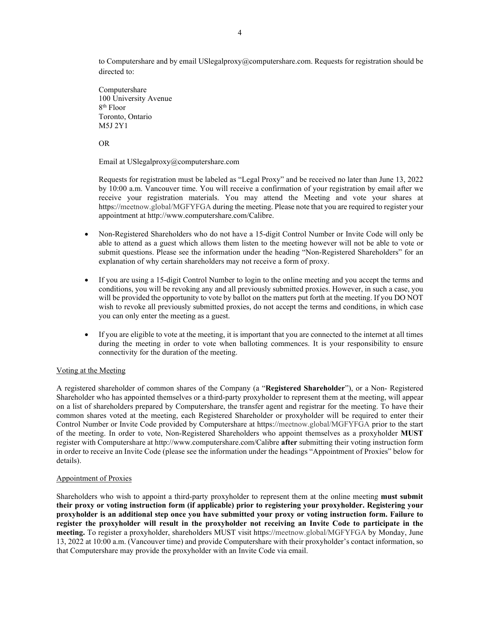to Computershare and by email USlegalproxy@computershare.com. Requests for registration should be directed to:

Computershare 100 University Avenue 8th Floor Toronto, Ontario M5J 2Y1

OR

Email at USlegalproxy@computershare.com

Requests for registration must be labeled as "Legal Proxy" and be received no later than June 13, 2022 by 10:00 a.m. Vancouver time. You will receive a confirmation of your registration by email after we receive your registration materials. You may attend the Meeting and vote your shares at https://meetnow.global/MGFYFGA during the meeting. Please note that you are required to register your appointment at http://www.computershare.com/Calibre.

- Non-Registered Shareholders who do not have a 15-digit Control Number or Invite Code will only be able to attend as a guest which allows them listen to the meeting however will not be able to vote or submit questions. Please see the information under the heading "Non-Registered Shareholders" for an explanation of why certain shareholders may not receive a form of proxy.
- If you are using a 15-digit Control Number to login to the online meeting and you accept the terms and conditions, you will be revoking any and all previously submitted proxies. However, in such a case, you will be provided the opportunity to vote by ballot on the matters put forth at the meeting. If you DO NOT wish to revoke all previously submitted proxies, do not accept the terms and conditions, in which case you can only enter the meeting as a guest.
- If you are eligible to vote at the meeting, it is important that you are connected to the internet at all times during the meeting in order to vote when balloting commences. It is your responsibility to ensure connectivity for the duration of the meeting.

# Voting at the Meeting

A registered shareholder of common shares of the Company (a "**Registered Shareholder**"), or a Non- Registered Shareholder who has appointed themselves or a third-party proxyholder to represent them at the meeting, will appear on a list of shareholders prepared by Computershare, the transfer agent and registrar for the meeting. To have their common shares voted at the meeting, each Registered Shareholder or proxyholder will be required to enter their Control Number or Invite Code provided by Computershare at https://meetnow.global/MGFYFGA prior to the start of the meeting. In order to vote, Non-Registered Shareholders who appoint themselves as a proxyholder **MUST** register with Computershare at http://www.computershare.com/Calibre **after** submitting their voting instruction form in order to receive an Invite Code (please see the information under the headings "Appointment of Proxies" below for details).

## Appointment of Proxies

Shareholders who wish to appoint a third-party proxyholder to represent them at the online meeting **must submit their proxy or voting instruction form (if applicable) prior to registering your proxyholder. Registering your proxyholder is an additional step once you have submitted your proxy or voting instruction form. Failure to register the proxyholder will result in the proxyholder not receiving an Invite Code to participate in the meeting.** To register a proxyholder, shareholders MUST visit https://meetnow.global/MGFYFGA by Monday, June 13, 2022 at 10:00 a.m. (Vancouver time) and provide Computershare with their proxyholder's contact information, so that Computershare may provide the proxyholder with an Invite Code via email.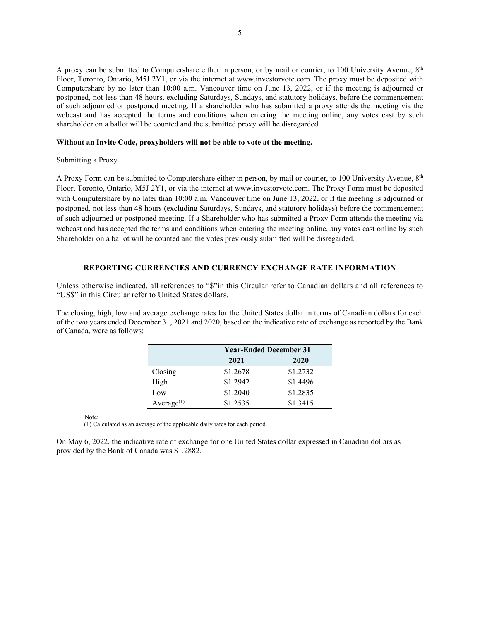A proxy can be submitted to Computershare either in person, or by mail or courier, to 100 University Avenue,  $8<sup>th</sup>$ Floor, Toronto, Ontario, M5J 2Y1, or via the internet at www.investorvote.com. The proxy must be deposited with Computershare by no later than 10:00 a.m. Vancouver time on June 13, 2022, or if the meeting is adjourned or postponed, not less than 48 hours, excluding Saturdays, Sundays, and statutory holidays, before the commencement of such adjourned or postponed meeting. If a shareholder who has submitted a proxy attends the meeting via the webcast and has accepted the terms and conditions when entering the meeting online, any votes cast by such shareholder on a ballot will be counted and the submitted proxy will be disregarded.

# **Without an Invite Code, proxyholders will not be able to vote at the meeting.**

# Submitting a Proxy

A Proxy Form can be submitted to Computershare either in person, by mail or courier, to 100 University Avenue, 8<sup>th</sup> Floor, Toronto, Ontario, M5J 2Y1, or via the internet at www.investorvote.com. The Proxy Form must be deposited with Computershare by no later than 10:00 a.m. Vancouver time on June 13, 2022, or if the meeting is adjourned or postponed, not less than 48 hours (excluding Saturdays, Sundays, and statutory holidays) before the commencement of such adjourned or postponed meeting. If a Shareholder who has submitted a Proxy Form attends the meeting via webcast and has accepted the terms and conditions when entering the meeting online, any votes cast online by such Shareholder on a ballot will be counted and the votes previously submitted will be disregarded.

# **REPORTING CURRENCIES AND CURRENCY EXCHANGE RATE INFORMATION**

Unless otherwise indicated, all references to "\$"in this Circular refer to Canadian dollars and all references to "US\$" in this Circular refer to United States dollars.

The closing, high, low and average exchange rates for the United States dollar in terms of Canadian dollars for each of the two years ended December 31, 2021 and 2020, based on the indicative rate of exchange as reported by the Bank of Canada, were as follows:

|               | <b>Year-Ended December 31</b> |          |  |  |
|---------------|-------------------------------|----------|--|--|
|               | 2021<br>2020                  |          |  |  |
| Closing       | \$1.2678                      | \$1.2732 |  |  |
| High          | \$1.2942                      | \$1.4496 |  |  |
| Low           | \$1.2040                      | \$1.2835 |  |  |
| Average $(1)$ | \$1.2535                      | \$1.3415 |  |  |

Note:

(1) Calculated as an average of the applicable daily rates for each period.

On May 6, 2022, the indicative rate of exchange for one United States dollar expressed in Canadian dollars as provided by the Bank of Canada was \$1.2882.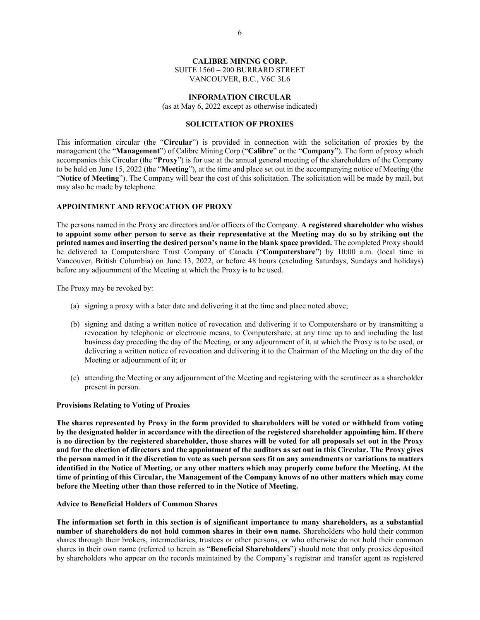# **CALIBRE MINING CORP.**

SUITE 1560 – 200 BURRARD STREET VANCOUVER, B.C., V6C 3L6

### **INFORMATION CIRCULAR**

(as at May 6, 2022 except as otherwise indicated)

# **SOLICITATION OF PROXIES**

This information circular (the "**Circular**") is provided in connection with the solicitation of proxies by the management (the "**Management**") of Calibre Mining Corp ("**Calibre**" or the "**Company**"). The form of proxy which accompanies this Circular (the "**Proxy**") is for use at the annual general meeting of the shareholders of the Company to be held on June 15, 2022 (the "**Meeting**"), at the time and place set out in the accompanying notice of Meeting (the "**Notice of Meeting**"). The Company will bear the cost of this solicitation. The solicitation will be made by mail, but may also be made by telephone.

# **APPOINTMENT AND REVOCATION OF PROXY**

The persons named in the Proxy are directors and/or officers of the Company. **A registered shareholder who wishes to appoint some other person to serve as their representative at the Meeting may do so by striking out the printed names and inserting the desired person's name in the blank space provided.** The completed Proxy should be delivered to Computershare Trust Company of Canada ("**Computershare**") by 10:00 a.m. (local time in Vancouver, British Columbia) on June 13, 2022, or before 48 hours (excluding Saturdays, Sundays and holidays) before any adjournment of the Meeting at which the Proxy is to be used.

The Proxy may be revoked by:

- (a) signing a proxy with a later date and delivering it at the time and place noted above;
- (b) signing and dating a written notice of revocation and delivering it to Computershare or by transmitting a revocation by telephonic or electronic means, to Computershare, at any time up to and including the last business day preceding the day of the Meeting, or any adjournment of it, at which the Proxy is to be used, or delivering a written notice of revocation and delivering it to the Chairman of the Meeting on the day of the Meeting or adjournment of it; or
- (c) attending the Meeting or any adjournment of the Meeting and registering with the scrutineer as a shareholder present in person.

### **Provisions Relating to Voting of Proxies**

**The shares represented by Proxy in the form provided to shareholders will be voted or withheld from voting by the designated holder in accordance with the direction of the registered shareholder appointing him. If there is no direction by the registered shareholder, those shares will be voted for all proposals set out in the Proxy and for the election of directors and the appointment of the auditors as set out in this Circular. The Proxy gives the person named in it the discretion to vote as such person sees fit on any amendments or variations to matters identified in the Notice of Meeting, or any other matters which may properly come before the Meeting. At the time of printing of this Circular, the Management of the Company knows of no other matters which may come before the Meeting other than those referred to in the Notice of Meeting.**

#### **Advice to Beneficial Holders of Common Shares**

**The information set forth in this section is of significant importance to many shareholders, as a substantial number of shareholders do not hold common shares in their own name.** Shareholders who hold their common shares through their brokers, intermediaries, trustees or other persons, or who otherwise do not hold their common shares in their own name (referred to herein as "**Beneficial Shareholders**") should note that only proxies deposited by shareholders who appear on the records maintained by the Company's registrar and transfer agent as registered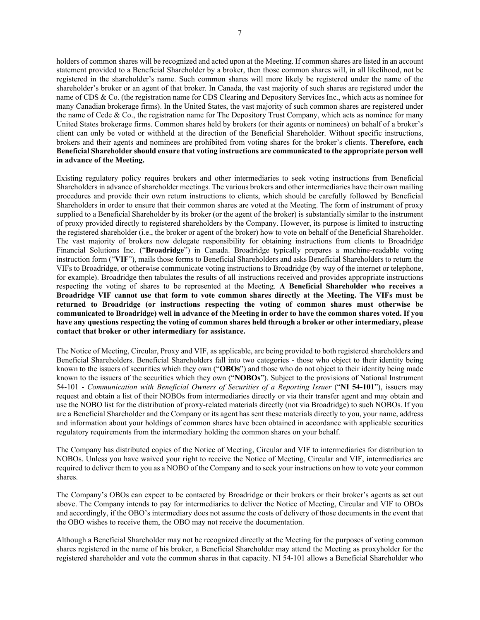holders of common shares will be recognized and acted upon at the Meeting. If common shares are listed in an account statement provided to a Beneficial Shareholder by a broker, then those common shares will, in all likelihood, not be registered in the shareholder's name. Such common shares will more likely be registered under the name of the shareholder's broker or an agent of that broker. In Canada, the vast majority of such shares are registered under the name of CDS & Co. (the registration name for CDS Clearing and Depository Services Inc., which acts as nominee for many Canadian brokerage firms). In the United States, the vast majority of such common shares are registered under the name of Cede & Co., the registration name for The Depository Trust Company, which acts as nominee for many United States brokerage firms. Common shares held by brokers (or their agents or nominees) on behalf of a broker's client can only be voted or withheld at the direction of the Beneficial Shareholder. Without specific instructions, brokers and their agents and nominees are prohibited from voting shares for the broker's clients. **Therefore, each Beneficial Shareholder should ensure that voting instructions are communicated to the appropriate person well in advance of the Meeting.**

Existing regulatory policy requires brokers and other intermediaries to seek voting instructions from Beneficial Shareholders in advance of shareholder meetings. The various brokers and other intermediaries have their own mailing procedures and provide their own return instructions to clients, which should be carefully followed by Beneficial Shareholders in order to ensure that their common shares are voted at the Meeting. The form of instrument of proxy supplied to a Beneficial Shareholder by its broker (or the agent of the broker) is substantially similar to the instrument of proxy provided directly to registered shareholders by the Company. However, its purpose is limited to instructing the registered shareholder (i.e., the broker or agent of the broker) how to vote on behalf of the Beneficial Shareholder. The vast majority of brokers now delegate responsibility for obtaining instructions from clients to Broadridge Financial Solutions Inc. ("**Broadridge**") in Canada. Broadridge typically prepares a machine-readable voting instruction form ("**VIF**"), mails those forms to Beneficial Shareholders and asks Beneficial Shareholders to return the VIFs to Broadridge, or otherwise communicate voting instructions to Broadridge (by way of the internet or telephone, for example). Broadridge then tabulates the results of all instructions received and provides appropriate instructions respecting the voting of shares to be represented at the Meeting. **A Beneficial Shareholder who receives a Broadridge VIF cannot use that form to vote common shares directly at the Meeting. The VIFs must be returned to Broadridge (or instructions respecting the voting of common shares must otherwise be communicated to Broadridge) well in advance of the Meeting in order to have the common shares voted. If you have any questions respecting the voting of common shares held through a broker or other intermediary, please contact that broker or other intermediary for assistance.**

The Notice of Meeting, Circular, Proxy and VIF, as applicable, are being provided to both registered shareholders and Beneficial Shareholders. Beneficial Shareholders fall into two categories - those who object to their identity being known to the issuers of securities which they own ("**OBOs**") and those who do not object to their identity being made known to the issuers of the securities which they own ("**NOBOs**"). Subject to the provisions of National Instrument 54-101 - *Communication with Beneficial Owners of Securities of a Reporting Issuer* ("**NI 54-101**"), issuers may request and obtain a list of their NOBOs from intermediaries directly or via their transfer agent and may obtain and use the NOBO list for the distribution of proxy-related materials directly (not via Broadridge) to such NOBOs. If you are a Beneficial Shareholder and the Company or its agent has sent these materials directly to you, your name, address and information about your holdings of common shares have been obtained in accordance with applicable securities regulatory requirements from the intermediary holding the common shares on your behalf.

The Company has distributed copies of the Notice of Meeting, Circular and VIF to intermediaries for distribution to NOBOs. Unless you have waived your right to receive the Notice of Meeting, Circular and VIF, intermediaries are required to deliver them to you as a NOBO of the Company and to seek your instructions on how to vote your common shares.

The Company's OBOs can expect to be contacted by Broadridge or their brokers or their broker's agents as set out above. The Company intends to pay for intermediaries to deliver the Notice of Meeting, Circular and VIF to OBOs and accordingly, if the OBO's intermediary does not assume the costs of delivery of those documents in the event that the OBO wishes to receive them, the OBO may not receive the documentation.

Although a Beneficial Shareholder may not be recognized directly at the Meeting for the purposes of voting common shares registered in the name of his broker, a Beneficial Shareholder may attend the Meeting as proxyholder for the registered shareholder and vote the common shares in that capacity. NI 54-101 allows a Beneficial Shareholder who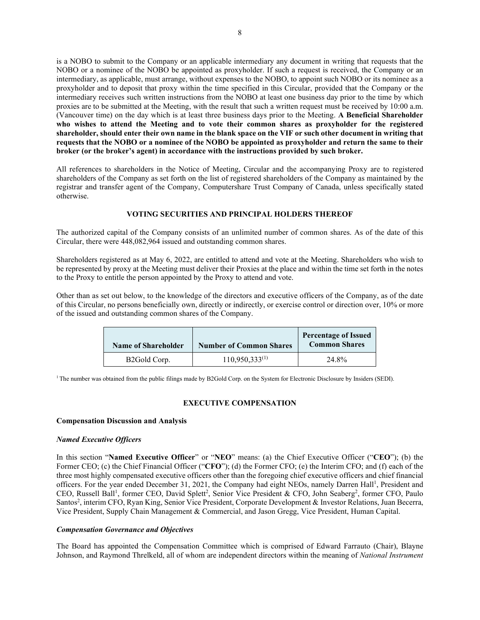is a NOBO to submit to the Company or an applicable intermediary any document in writing that requests that the NOBO or a nominee of the NOBO be appointed as proxyholder. If such a request is received, the Company or an intermediary, as applicable, must arrange, without expenses to the NOBO, to appoint such NOBO or its nominee as a proxyholder and to deposit that proxy within the time specified in this Circular, provided that the Company or the intermediary receives such written instructions from the NOBO at least one business day prior to the time by which proxies are to be submitted at the Meeting, with the result that such a written request must be received by 10:00 a.m. (Vancouver time) on the day which is at least three business days prior to the Meeting. **A Beneficial Shareholder who wishes to attend the Meeting and to vote their common shares as proxyholder for the registered shareholder, should enter their own name in the blank space on the VIF or such other document in writing that requests that the NOBO or a nominee of the NOBO be appointed as proxyholder and return the same to their broker (or the broker's agent) in accordance with the instructions provided by such broker.**

All references to shareholders in the Notice of Meeting, Circular and the accompanying Proxy are to registered shareholders of the Company as set forth on the list of registered shareholders of the Company as maintained by the registrar and transfer agent of the Company, Computershare Trust Company of Canada, unless specifically stated otherwise.

# **VOTING SECURITIES AND PRINCIPAL HOLDERS THEREOF**

The authorized capital of the Company consists of an unlimited number of common shares. As of the date of this Circular, there were 448,082,964 issued and outstanding common shares.

Shareholders registered as at May 6, 2022, are entitled to attend and vote at the Meeting. Shareholders who wish to be represented by proxy at the Meeting must deliver their Proxies at the place and within the time set forth in the notes to the Proxy to entitle the person appointed by the Proxy to attend and vote.

Other than as set out below, to the knowledge of the directors and executive officers of the Company, as of the date of this Circular, no persons beneficially own, directly or indirectly, or exercise control or direction over, 10% or more of the issued and outstanding common shares of the Company.

| <b>Name of Shareholder</b> | <b>Number of Common Shares</b> | <b>Percentage of Issued</b><br><b>Common Shares</b> |
|----------------------------|--------------------------------|-----------------------------------------------------|
| B <sub>2</sub> Gold Corp.  | $110,950,333^{(1)}$            | 24.8%                                               |

<sup>1</sup> The number was obtained from the public filings made by B2Gold Corp. on the System for Electronic Disclosure by Insiders (SEDI).

### **EXECUTIVE COMPENSATION**

## **Compensation Discussion and Analysis**

## *Named Executive Officers*

In this section "**Named Executive Officer**" or "**NEO**" means: (a) the Chief Executive Officer ("**CEO**"); (b) the Former CEO; (c) the Chief Financial Officer ("**CFO**"); (d) the Former CFO; (e) the Interim CFO; and (f) each of the three most highly compensated executive officers other than the foregoing chief executive officers and chief financial officers. For the year ended December 31, 2021, the Company had eight NEOs, namely Darren Hall<sup>1</sup>, President and CEO, Russell Ball<sup>1</sup>, former CEO, David Splett<sup>2</sup>, Senior Vice President & CFO, John Seaberg<sup>2</sup>, former CFO, Paulo Santos<sup>2</sup>, interim CFO, Ryan King, Senior Vice President, Corporate Development & Investor Relations, Juan Becerra, Vice President, Supply Chain Management & Commercial, and Jason Gregg, Vice President, Human Capital.

# *Compensation Governance and Objectives*

The Board has appointed the Compensation Committee which is comprised of Edward Farrauto (Chair), Blayne Johnson, and Raymond Threlkeld, all of whom are independent directors within the meaning of *National Instrument*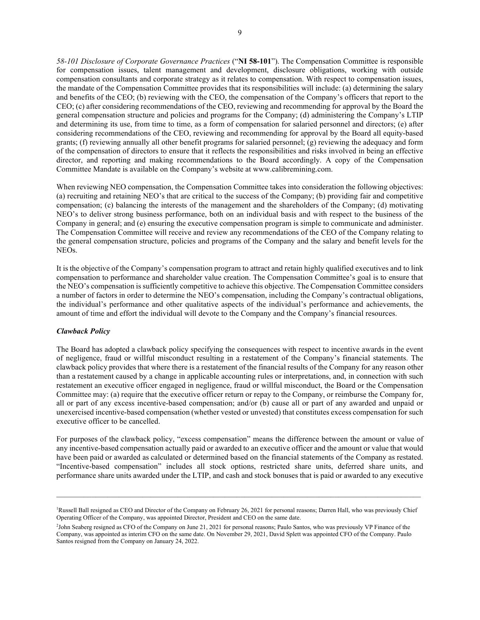*58-101 Disclosure of Corporate Governance Practices* ("**NI 58-101**"). The Compensation Committee is responsible for compensation issues, talent management and development, disclosure obligations, working with outside compensation consultants and corporate strategy as it relates to compensation. With respect to compensation issues, the mandate of the Compensation Committee provides that its responsibilities will include: (a) determining the salary and benefits of the CEO; (b) reviewing with the CEO, the compensation of the Company's officers that report to the CEO; (c) after considering recommendations of the CEO, reviewing and recommending for approval by the Board the general compensation structure and policies and programs for the Company; (d) administering the Company's LTIP and determining its use, from time to time, as a form of compensation for salaried personnel and directors; (e) after considering recommendations of the CEO, reviewing and recommending for approval by the Board all equity-based grants; (f) reviewing annually all other benefit programs for salaried personnel; (g) reviewing the adequacy and form of the compensation of directors to ensure that it reflects the responsibilities and risks involved in being an effective director, and reporting and making recommendations to the Board accordingly. A copy of the Compensation Committee Mandate is available on the Company's website at www.calibremining.com.

When reviewing NEO compensation, the Compensation Committee takes into consideration the following objectives: (a) recruiting and retaining NEO's that are critical to the success of the Company; (b) providing fair and competitive compensation; (c) balancing the interests of the management and the shareholders of the Company; (d) motivating NEO's to deliver strong business performance, both on an individual basis and with respect to the business of the Company in general; and (e) ensuring the executive compensation program is simple to communicate and administer. The Compensation Committee will receive and review any recommendations of the CEO of the Company relating to the general compensation structure, policies and programs of the Company and the salary and benefit levels for the NEOs.

It is the objective of the Company's compensation program to attract and retain highly qualified executives and to link compensation to performance and shareholder value creation. The Compensation Committee's goal is to ensure that the NEO's compensation is sufficiently competitive to achieve this objective. The Compensation Committee considers a number of factors in order to determine the NEO's compensation, including the Company's contractual obligations, the individual's performance and other qualitative aspects of the individual's performance and achievements, the amount of time and effort the individual will devote to the Company and the Company's financial resources.

## *Clawback Policy*

The Board has adopted a clawback policy specifying the consequences with respect to incentive awards in the event of negligence, fraud or willful misconduct resulting in a restatement of the Company's financial statements. The clawback policy provides that where there is a restatement of the financial results of the Company for any reason other than a restatement caused by a change in applicable accounting rules or interpretations, and, in connection with such restatement an executive officer engaged in negligence, fraud or willful misconduct, the Board or the Compensation Committee may: (a) require that the executive officer return or repay to the Company, or reimburse the Company for, all or part of any excess incentive-based compensation; and/or (b) cause all or part of any awarded and unpaid or unexercised incentive-based compensation (whether vested or unvested) that constitutes excess compensation for such executive officer to be cancelled.

For purposes of the clawback policy, "excess compensation" means the difference between the amount or value of any incentive-based compensation actually paid or awarded to an executive officer and the amount or value that would have been paid or awarded as calculated or determined based on the financial statements of the Company as restated. "Incentive-based compensation" includes all stock options, restricted share units, deferred share units, and performance share units awarded under the LTIP, and cash and stock bonuses that is paid or awarded to any executive

\_\_\_\_\_\_\_\_\_\_\_\_\_\_\_\_\_\_\_\_\_\_\_\_\_\_\_\_\_\_\_\_\_\_\_\_\_\_\_\_\_\_\_\_\_\_\_\_\_\_\_\_\_\_\_\_\_\_\_\_\_\_\_\_\_\_\_\_\_\_\_\_\_\_\_\_\_\_\_\_\_\_\_\_\_\_\_\_\_\_\_\_\_

<sup>&</sup>lt;sup>1</sup>Russell Ball resigned as CEO and Director of the Company on February 26, 2021 for personal reasons; Darren Hall, who was previously Chief Operating Officer of the Company, was appointed Director, President and CEO on the same date.

<sup>2</sup> John Seaberg resigned as CFO of the Company on June 21, 2021 for personal reasons; Paulo Santos, who was previously VP Finance of the Company, was appointed as interim CFO on the same date. On November 29, 2021, David Splett was appointed CFO of the Company. Paulo Santos resigned from the Company on January 24, 2022.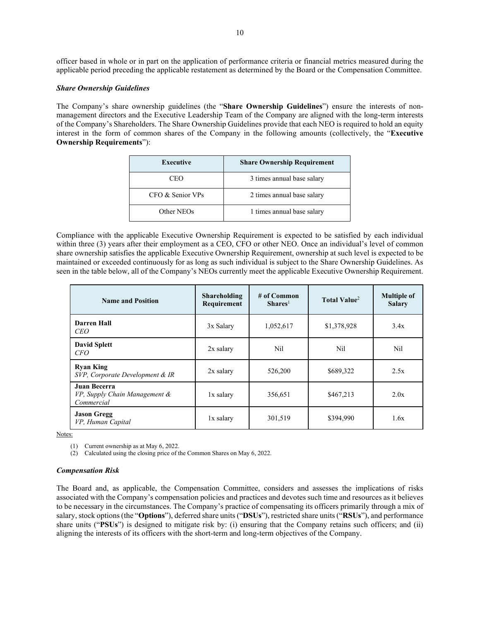officer based in whole or in part on the application of performance criteria or financial metrics measured during the applicable period preceding the applicable restatement as determined by the Board or the Compensation Committee.

# *Share Ownership Guidelines*

The Company's share ownership guidelines (the "**Share Ownership Guidelines**") ensure the interests of nonmanagement directors and the Executive Leadership Team of the Company are aligned with the long-term interests of the Company's Shareholders. The Share Ownership Guidelines provide that each NEO is required to hold an equity interest in the form of common shares of the Company in the following amounts (collectively, the "**Executive Ownership Requirements**"):

| <b>Executive</b> | <b>Share Ownership Requirement</b> |
|------------------|------------------------------------|
| CEO              | 3 times annual base salary         |
| CFO & Senior VPs | 2 times annual base salary         |
| Other NEOs       | 1 times annual base salary         |

Compliance with the applicable Executive Ownership Requirement is expected to be satisfied by each individual within three (3) years after their employment as a CEO, CFO or other NEO. Once an individual's level of common share ownership satisfies the applicable Executive Ownership Requirement, ownership at such level is expected to be maintained or exceeded continuously for as long as such individual is subject to the Share Ownership Guidelines. As seen in the table below, all of the Company's NEOs currently meet the applicable Executive Ownership Requirement.

| <b>Name and Position</b>                                           | <b>Shareholding</b><br>Requirement | $#$ of Common<br>$Shares1$ | Total Value <sup>2</sup> | <b>Multiple of</b><br><b>Salary</b> |
|--------------------------------------------------------------------|------------------------------------|----------------------------|--------------------------|-------------------------------------|
| Darren Hall<br><i>CEO</i>                                          | 3x Salary                          | 1,052,617                  | \$1,378,928              | 3.4x                                |
| <b>David Splett</b><br>CFO                                         | $2x$ salary                        | Nil                        | Nil                      | Nil                                 |
| <b>Ryan King</b><br>SVP, Corporate Development & IR                | $2x$ salary                        | 526,200                    | \$689,322                | 2.5x                                |
| <b>Juan Becerra</b><br>VP, Supply Chain Management &<br>Commercial | 1x salary                          | 356,651                    | \$467,213                | 2.0x                                |
| <b>Jason Gregg</b><br>VP, Human Capital                            | 1x salary                          | 301,519                    | \$394,990                | 1.6x                                |

Notes:

(1) Current ownership as at May 6, 2022.

(2) Calculated using the closing price of the Common Shares on May 6, 2022.

# *Compensation Risk*

The Board and, as applicable, the Compensation Committee, considers and assesses the implications of risks associated with the Company's compensation policies and practices and devotes such time and resources as it believes to be necessary in the circumstances. The Company's practice of compensating its officers primarily through a mix of salary, stock options(the "**Options**"), deferred share units ("**DSUs**"), restricted share units ("**RSUs**"), and performance share units ("**PSUs**") is designed to mitigate risk by: (i) ensuring that the Company retains such officers; and (ii) aligning the interests of its officers with the short-term and long-term objectives of the Company.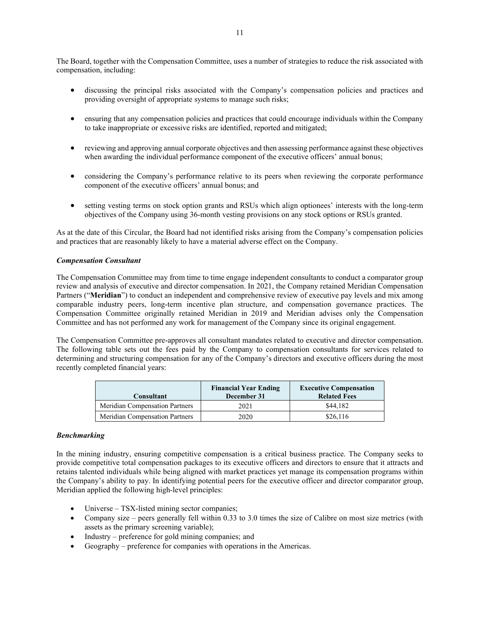The Board, together with the Compensation Committee, uses a number of strategies to reduce the risk associated with compensation, including:

- discussing the principal risks associated with the Company's compensation policies and practices and providing oversight of appropriate systems to manage such risks;
- ensuring that any compensation policies and practices that could encourage individuals within the Company to take inappropriate or excessive risks are identified, reported and mitigated;
- reviewing and approving annual corporate objectives and then assessing performance against these objectives when awarding the individual performance component of the executive officers' annual bonus;
- considering the Company's performance relative to its peers when reviewing the corporate performance component of the executive officers' annual bonus; and
- setting vesting terms on stock option grants and RSUs which align optionees' interests with the long-term objectives of the Company using 36-month vesting provisions on any stock options or RSUs granted.

As at the date of this Circular, the Board had not identified risks arising from the Company's compensation policies and practices that are reasonably likely to have a material adverse effect on the Company.

## *Compensation Consultant*

The Compensation Committee may from time to time engage independent consultants to conduct a comparator group review and analysis of executive and director compensation. In 2021, the Company retained Meridian Compensation Partners ("**Meridian**") to conduct an independent and comprehensive review of executive pay levels and mix among comparable industry peers, long-term incentive plan structure, and compensation governance practices. The Compensation Committee originally retained Meridian in 2019 and Meridian advises only the Compensation Committee and has not performed any work for management of the Company since its original engagement.

The Compensation Committee pre-approves all consultant mandates related to executive and director compensation. The following table sets out the fees paid by the Company to compensation consultants for services related to determining and structuring compensation for any of the Company's directors and executive officers during the most recently completed financial years:

| Consultant                            | <b>Financial Year Ending</b><br>December 31 | <b>Executive Compensation</b><br><b>Related Fees</b> |
|---------------------------------------|---------------------------------------------|------------------------------------------------------|
| Meridian Compensation Partners        | 2021                                        | \$44,182                                             |
| <b>Meridian Compensation Partners</b> | 2020                                        | \$26,116                                             |

## *Benchmarking*

In the mining industry, ensuring competitive compensation is a critical business practice. The Company seeks to provide competitive total compensation packages to its executive officers and directors to ensure that it attracts and retains talented individuals while being aligned with market practices yet manage its compensation programs within the Company's ability to pay. In identifying potential peers for the executive officer and director comparator group, Meridian applied the following high-level principles:

- Universe TSX-listed mining sector companies;
- Company size peers generally fell within 0.33 to 3.0 times the size of Calibre on most size metrics (with assets as the primary screening variable);
- Industry preference for gold mining companies; and
- Geography preference for companies with operations in the Americas.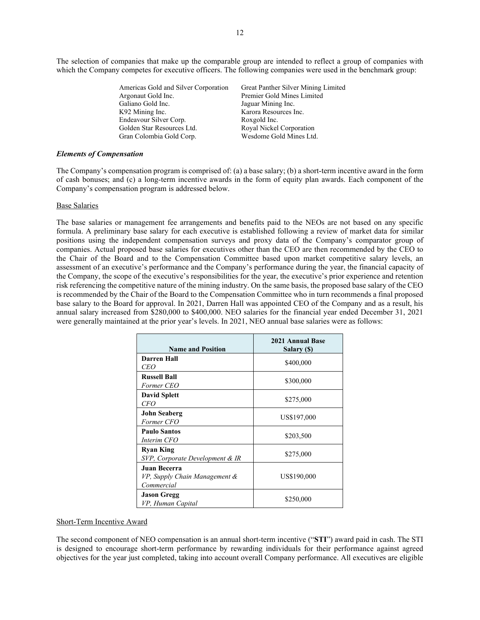The selection of companies that make up the comparable group are intended to reflect a group of companies with which the Company competes for executive officers. The following companies were used in the benchmark group:

| Americas Gold and Silver Corporation | Great Panther Silver Mining Limited |
|--------------------------------------|-------------------------------------|
| Argonaut Gold Inc.                   | Premier Gold Mines Limited          |
| Galiano Gold Inc.                    | Jaguar Mining Inc.                  |
| K92 Mining Inc.                      | Karora Resources Inc.               |
| Endeavour Silver Corp.               | Roxgold Inc.                        |
| Golden Star Resources Ltd.           | Royal Nickel Corporation            |
| Gran Colombia Gold Corp.             | Wesdome Gold Mines Ltd.             |
|                                      |                                     |

### *Elements of Compensation*

The Company's compensation program is comprised of: (a) a base salary; (b) a short-term incentive award in the form of cash bonuses; and (c) a long-term incentive awards in the form of equity plan awards. Each component of the Company's compensation program is addressed below.

### Base Salaries

The base salaries or management fee arrangements and benefits paid to the NEOs are not based on any specific formula. A preliminary base salary for each executive is established following a review of market data for similar positions using the independent compensation surveys and proxy data of the Company's comparator group of companies. Actual proposed base salaries for executives other than the CEO are then recommended by the CEO to the Chair of the Board and to the Compensation Committee based upon market competitive salary levels, an assessment of an executive's performance and the Company's performance during the year, the financial capacity of the Company, the scope of the executive's responsibilities for the year, the executive's prior experience and retention risk referencing the competitive nature of the mining industry. On the same basis, the proposed base salary of the CEO is recommended by the Chair of the Board to the Compensation Committee who in turn recommends a final proposed base salary to the Board for approval. In 2021, Darren Hall was appointed CEO of the Company and as a result, his annual salary increased from \$280,000 to \$400,000. NEO salaries for the financial year ended December 31, 2021 were generally maintained at the prior year's levels. In 2021, NEO annual base salaries were as follows:

| <b>Name and Position</b>                                    | <b>2021 Annual Base</b><br>Salary (\$) |
|-------------------------------------------------------------|----------------------------------------|
| Darren Hall<br>CEO                                          | \$400,000                              |
| <b>Russell Ball</b><br>Former CEO                           | \$300,000                              |
| <b>David Splett</b><br>CFO                                  | \$275,000                              |
| <b>John Seaberg</b><br>Former CFO                           | US\$197,000                            |
| <b>Paulo Santos</b><br>Interim CFO                          | \$203,500                              |
| <b>Ryan King</b><br>SVP, Corporate Development & IR         | \$275,000                              |
| Juan Becerra<br>VP, Supply Chain Management &<br>Commercial | US\$190,000                            |
| <b>Jason Gregg</b><br>VP, Human Capital                     | \$250,000                              |

### Short-Term Incentive Award

The second component of NEO compensation is an annual short-term incentive ("**STI**") award paid in cash. The STI is designed to encourage short-term performance by rewarding individuals for their performance against agreed objectives for the year just completed, taking into account overall Company performance. All executives are eligible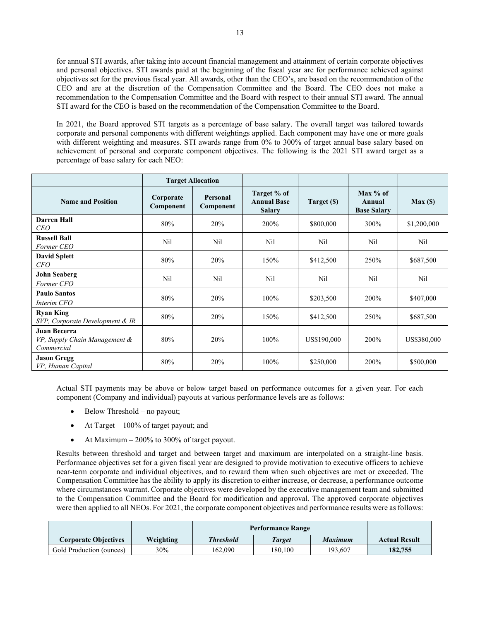for annual STI awards, after taking into account financial management and attainment of certain corporate objectives and personal objectives. STI awards paid at the beginning of the fiscal year are for performance achieved against objectives set for the previous fiscal year. All awards, other than the CEO's, are based on the recommendation of the CEO and are at the discretion of the Compensation Committee and the Board. The CEO does not make a recommendation to the Compensation Committee and the Board with respect to their annual STI award. The annual STI award for the CEO is based on the recommendation of the Compensation Committee to the Board.

In 2021, the Board approved STI targets as a percentage of base salary. The overall target was tailored towards corporate and personal components with different weightings applied. Each component may have one or more goals with different weighting and measures. STI awards range from 0% to 300% of target annual base salary based on achievement of personal and corporate component objectives. The following is the 2021 STI award target as a percentage of base salary for each NEO:

|                                                                    | <b>Target Allocation</b> |                       |                                                    |             |                                            |             |
|--------------------------------------------------------------------|--------------------------|-----------------------|----------------------------------------------------|-------------|--------------------------------------------|-------------|
| <b>Name and Position</b>                                           | Corporate<br>Component   | Personal<br>Component | Target % of<br><b>Annual Base</b><br><b>Salary</b> | Target (\$) | Max $%$ of<br>Annual<br><b>Base Salary</b> | Max(        |
| <b>Darren Hall</b><br><i>CEO</i>                                   | 80%                      | 20%                   | 200%                                               | \$800,000   | 300%                                       | \$1,200,000 |
| <b>Russell Ball</b><br>Former CEO                                  | Nil                      | Nil                   | Nil                                                | Nil         | Nil                                        | Nil         |
| <b>David Splett</b><br>CFO                                         | 80%                      | 20%                   | 150%                                               | \$412,500   | 250%                                       | \$687,500   |
| <b>John Seaberg</b><br>Former CFO                                  | Nil                      | Nil                   | Nil                                                | Nil         | Nil                                        | Nil         |
| <b>Paulo Santos</b><br>Interim CFO                                 | 80%                      | 20%                   | 100%                                               | \$203,500   | 200%                                       | \$407,000   |
| <b>Ryan King</b><br>SVP, Corporate Development & IR                | 80%                      | 20%                   | 150%                                               | \$412,500   | 250%                                       | \$687,500   |
| <b>Juan Becerra</b><br>VP, Supply Chain Management &<br>Commercial | 80%                      | 20%                   | 100%                                               | US\$190,000 | 200%                                       | US\$380,000 |
| <b>Jason Gregg</b><br>VP, Human Capital                            | 80%                      | 20%                   | 100%                                               | \$250,000   | 200%                                       | \$500,000   |

Actual STI payments may be above or below target based on performance outcomes for a given year. For each component (Company and individual) payouts at various performance levels are as follows:

- Below Threshold no payout;
- At Target  $-100\%$  of target payout; and
- At Maximum  $-200\%$  to 300% of target payout.

Results between threshold and target and between target and maximum are interpolated on a straight-line basis. Performance objectives set for a given fiscal year are designed to provide motivation to executive officers to achieve near-term corporate and individual objectives, and to reward them when such objectives are met or exceeded. The Compensation Committee has the ability to apply its discretion to either increase, or decrease, a performance outcome where circumstances warrant. Corporate objectives were developed by the executive management team and submitted to the Compensation Committee and the Board for modification and approval. The approved corporate objectives were then applied to all NEOs. For 2021, the corporate component objectives and performance results were as follows:

|                             |           | <b>Performance Range</b> |                      |         |         |
|-----------------------------|-----------|--------------------------|----------------------|---------|---------|
| <b>Corporate Objectives</b> | Weighting | <b>Threshold</b>         | <b>Actual Result</b> |         |         |
| Gold Production (ounces)    | 30%       | 162.090                  | 180.100              | 193.607 | 182,755 |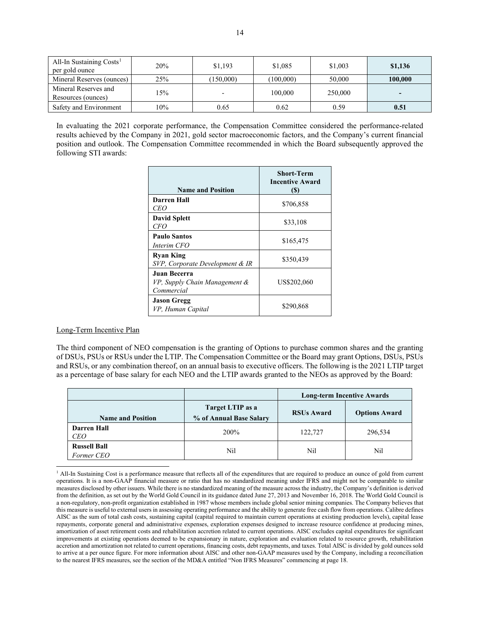| All-In Sustaining Costs <sup>1</sup><br>per gold ounce | 20% | \$1,193 | \$1,085   | \$1,003 | \$1,136                  |
|--------------------------------------------------------|-----|---------|-----------|---------|--------------------------|
| Mineral Reserves (ounces)                              | 25% | 150,000 | (100,000) | 50,000  | 100.000                  |
| Mineral Reserves and<br>Resources (ounces)             | 15% |         | 100,000   | 250,000 | $\overline{\phantom{a}}$ |
| Safety and Environment                                 | 10% | 0.65    | 0.62      | 0.59    | 0.51                     |

In evaluating the 2021 corporate performance, the Compensation Committee considered the performance-related results achieved by the Company in 2021, gold sector macroeconomic factors, and the Company's current financial position and outlook. The Compensation Committee recommended in which the Board subsequently approved the following STI awards:

| <b>Name and Position</b>                                    | <b>Short-Term</b><br><b>Incentive Award</b><br>(S) |
|-------------------------------------------------------------|----------------------------------------------------|
| Darren Hall<br><i>CEO</i>                                   | \$706,858                                          |
| <b>David Splett</b><br>CFO                                  | \$33,108                                           |
| <b>Paulo Santos</b><br>Interim CFO                          | \$165,475                                          |
| <b>Ryan King</b><br>SVP, Corporate Development & IR         | \$350,439                                          |
| Juan Becerra<br>VP, Supply Chain Management &<br>Commercial | US\$202,060                                        |
| <b>Jason Gregg</b><br>VP, Human Capital                     | \$290,868                                          |

## Long-Term Incentive Plan

The third component of NEO compensation is the granting of Options to purchase common shares and the granting of DSUs, PSUs or RSUs under the LTIP. The Compensation Committee or the Board may grant Options, DSUs, PSUs and RSUs, or any combination thereof, on an annual basis to executive officers. The following is the 2021 LTIP target as a percentage of base salary for each NEO and the LTIP awards granted to the NEOs as approved by the Board:

|                                   |                                             | <b>Long-term Incentive Awards</b> |                      |  |  |
|-----------------------------------|---------------------------------------------|-----------------------------------|----------------------|--|--|
| <b>Name and Position</b>          | Target LTIP as a<br>% of Annual Base Salary | <b>RSUs Award</b>                 | <b>Options Award</b> |  |  |
| <b>Darren Hall</b><br><b>CEO</b>  | 200%                                        | 122,727                           | 296,534              |  |  |
| <b>Russell Ball</b><br>Former CEO | Nil                                         | Nil                               | Nil                  |  |  |

<span id="page-13-0"></span><sup>&</sup>lt;sup>1</sup> All-In Sustaining Cost is a performance measure that reflects all of the expenditures that are required to produce an ounce of gold from current operations. It is a non-GAAP financial measure or ratio that has no standardized meaning under IFRS and might not be comparable to similar measures disclosed by other issuers. While there is no standardized meaning of the measure across the industry, the Company's definition is derived from the definition, as set out by the World Gold Council in its guidance dated June 27, 2013 and November 16, 2018. The World Gold Council is a non-regulatory, non-profit organization established in 1987 whose members include global senior mining companies. The Company believes that this measure is useful to external users in assessing operating performance and the ability to generate free cash flow from operations. Calibre defines AISC as the sum of total cash costs, sustaining capital (capital required to maintain current operations at existing production levels), capital lease repayments, corporate general and administrative expenses, exploration expenses designed to increase resource confidence at producing mines, amortization of asset retirement costs and rehabilitation accretion related to current operations. AISC excludes capital expenditures for significant improvements at existing operations deemed to be expansionary in nature, exploration and evaluation related to resource growth, rehabilitation accretion and amortization not related to current operations, financing costs, debt repayments, and taxes. Total AISC is divided by gold ounces sold to arrive at a per ounce figure. For more information about AISC and other non-GAAP measures used by the Company, including a reconciliation to the nearest IFRS measures, see the section of the MD&A entitled "Non IFRS Measures" commencing at page 18.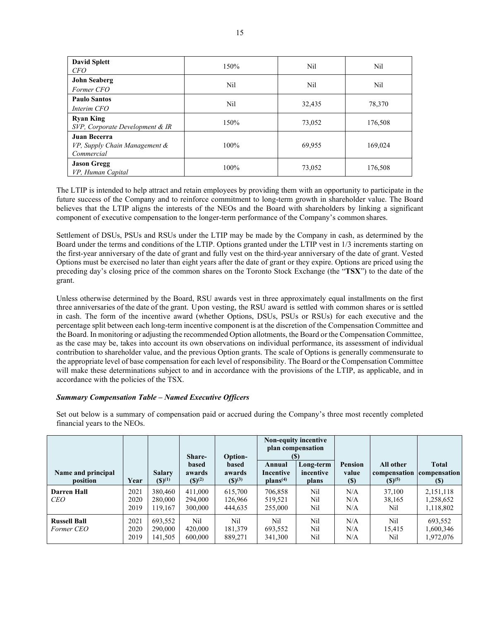| <b>David Splett</b><br><b>CFO</b>                           | 150% | Nil    | Nil     |
|-------------------------------------------------------------|------|--------|---------|
| <b>John Seaberg</b><br>Former CFO                           | Nil  | Nil    | Nil     |
| <b>Paulo Santos</b><br>Interim CFO                          | Nil  | 32,435 | 78,370  |
| <b>Ryan King</b><br>SVP, Corporate Development & IR         | 150% | 73,052 | 176,508 |
| Juan Becerra<br>VP, Supply Chain Management &<br>Commercial | 100% | 69,955 | 169,024 |
| <b>Jason Gregg</b><br>VP, Human Capital                     | 100% | 73,052 | 176,508 |

The LTIP is intended to help attract and retain employees by providing them with an opportunity to participate in the future success of the Company and to reinforce commitment to long-term growth in shareholder value. The Board believes that the LTIP aligns the interests of the NEOs and the Board with shareholders by linking a significant component of executive compensation to the longer-term performance of the Company's common shares.

Settlement of DSUs, PSUs and RSUs under the LTIP may be made by the Company in cash, as determined by the Board under the terms and conditions of the LTIP. Options granted under the LTIP vest in 1/3 increments starting on the first-year anniversary of the date of grant and fully vest on the third-year anniversary of the date of grant. Vested Options must be exercised no later than eight years after the date of grant or they expire. Options are priced using the preceding day's closing price of the common shares on the Toronto Stock Exchange (the "**TSX**") to the date of the grant.

Unless otherwise determined by the Board, RSU awards vest in three approximately equal installments on the first three anniversaries of the date of the grant. Upon vesting, the RSU award is settled with common shares or is settled in cash. The form of the incentive award (whether Options, DSUs, PSUs or RSUs) for each executive and the percentage split between each long-term incentive component is at the discretion of the Compensation Committee and the Board. In monitoring or adjusting the recommended Option allotments, the Board or the Compensation Committee, as the case may be, takes into account its own observations on individual performance, its assessment of individual contribution to shareholder value, and the previous Option grants. The scale of Options is generally commensurate to the appropriate level of base compensation for each level of responsibility. The Board or the Compensation Committee will make these determinations subject to and in accordance with the provisions of the LTIP, as applicable, and in accordance with the policies of the TSX.

# *Summary Compensation Table – Named Executive Officers*

Set out below is a summary of compensation paid or accrued during the Company's three most recently completed financial years to the NEOs.

| Name and principal<br>position    | Year                 | <b>Salary</b><br>$(S)^{(1)}$  | Share-<br>based<br>awards<br>$(S)^{(2)}$ | <b>Option-</b><br><b>based</b><br>awards<br>$(S)^{(3)}$ | Annual<br>Incentive<br>plans <sup>(4)</sup> | Non-equity incentive<br>plan compensation<br>(S)<br>Long-term<br>incentive<br>plans | <b>Pension</b><br>value<br><b>(S)</b> | All other<br>compensation compensation<br>$(S)^{(5)}$ | <b>Total</b><br>(S)                 |
|-----------------------------------|----------------------|-------------------------------|------------------------------------------|---------------------------------------------------------|---------------------------------------------|-------------------------------------------------------------------------------------|---------------------------------------|-------------------------------------------------------|-------------------------------------|
| <b>Darren Hall</b><br><b>CEO</b>  | 2021<br>2020<br>2019 | 380,460<br>280,000<br>119,167 | 411,000<br>294,000<br>300,000            | 615,700<br>126,966<br>444,635                           | 706,858<br>519,521<br>255,000               | Nil<br>Nil<br>Nil                                                                   | N/A<br>N/A<br>N/A                     | 37,100<br>38,165<br>Nil                               | 2,151,118<br>1,258,652<br>1,118,802 |
| <b>Russell Ball</b><br>Former CEO | 2021<br>2020<br>2019 | 693,552<br>290,000<br>141,505 | Nil<br>420,000<br>600,000                | Nil<br>181,379<br>889,271                               | Nil<br>693,552<br>341,300                   | Nil<br>Nil<br>Nil                                                                   | N/A<br>N/A<br>N/A                     | Nil<br>15.415<br>Nil                                  | 693,552<br>1,600,346<br>1,972,076   |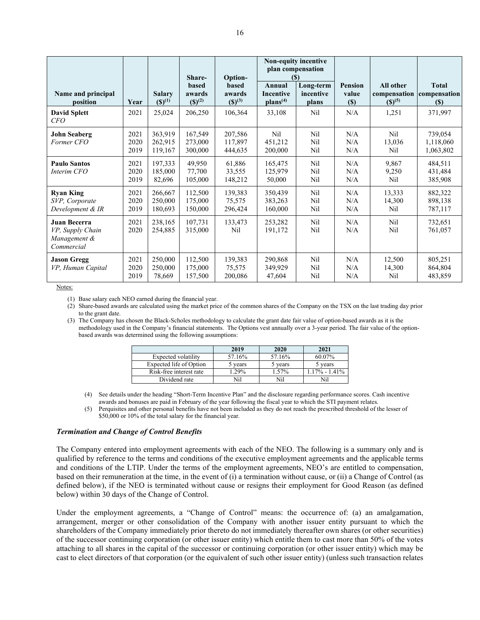|                                                                |                      |                                    | Share-                                    | Option-                               |                                             | Non-equity incentive<br>plan compensation<br>(5) |                                   |                                          |                                        |
|----------------------------------------------------------------|----------------------|------------------------------------|-------------------------------------------|---------------------------------------|---------------------------------------------|--------------------------------------------------|-----------------------------------|------------------------------------------|----------------------------------------|
| Name and principal<br>position                                 | Year                 | <b>Salary</b><br>$({\bf S})^{(1)}$ | based<br>awards<br>$({\mathbb{S}})^{(2)}$ | <b>based</b><br>awards<br>$(S)^{(3)}$ | Annual<br>Incentive<br>plans <sup>(4)</sup> | Long-term<br>incentive<br>plans                  | <b>Pension</b><br>value<br>$(\$)$ | All other<br>compensation<br>$(S)^{(5)}$ | <b>Total</b><br>compensation<br>$(\$)$ |
| <b>David Splett</b><br>CFO                                     | 2021                 | 25,024                             | 206,250                                   | 106,364                               | 33,108                                      | Nil                                              | N/A                               | 1,251                                    | 371,997                                |
| <b>John Seaberg</b><br>Former CFO                              | 2021<br>2020<br>2019 | 363,919<br>262,915<br>119,167      | 167,549<br>273,000<br>300,000             | 207,586<br>117,897<br>444,635         | Nil<br>451,212<br>200,000                   | Nil<br>Nil<br>Nil                                | N/A<br>N/A<br>N/A                 | Nil<br>13,036<br>Nil                     | 739,054<br>1,118,060<br>1,063,802      |
| <b>Paulo Santos</b><br>Interim CFO                             | 2021<br>2020<br>2019 | 197,333<br>185,000<br>82,696       | 49,950<br>77,700<br>105,000               | 61,886<br>33,555<br>148,212           | 165,475<br>125,979<br>50,000                | Nil<br>Nil<br>Nil                                | N/A<br>N/A<br>N/A                 | 9,867<br>9,250<br>Nil                    | 484,511<br>431,484<br>385,908          |
| <b>Ryan King</b><br>SVP, Corporate<br>Development & IR         | 2021<br>2020<br>2019 | 266,667<br>250,000<br>180,693      | 112,500<br>175,000<br>150,000             | 139,383<br>75,575<br>296,424          | 350,439<br>383,263<br>160,000               | Nil<br>Nil<br>Nil                                | N/A<br>N/A<br>N/A                 | 13,333<br>14,300<br>Nil                  | 882,322<br>898,138<br>787,117          |
| Juan Becerra<br>VP, Supply Chain<br>Management &<br>Commercial | 2021<br>2020         | 238,165<br>254,885                 | 107,731<br>315,000                        | 133,473<br>Nil                        | 253,282<br>191,172                          | Nil<br>Nil                                       | N/A<br>N/A                        | Nil<br>Nil                               | 732,651<br>761,057                     |
| <b>Jason Gregg</b><br>VP, Human Capital                        | 2021<br>2020<br>2019 | 250,000<br>250,000<br>78,669       | 112,500<br>175,000<br>157,500             | 139,383<br>75,575<br>200,086          | 290,868<br>349,929<br>47,604                | Nil<br>Nil<br>Nil                                | N/A<br>N/A<br>N/A                 | 12,500<br>14,300<br>Nil                  | 805,251<br>864,804<br>483,859          |

(1) Base salary each NEO earned during the financial year.

(2) Share-based awards are calculated using the market price of the common shares of the Company on the TSX on the last trading day prior to the grant date.

(3) The Company has chosen the Black-Scholes methodology to calculate the grant date fair value of option-based awards as it is the methodology used in the Company's financial statements. The Options vest annually over a 3-year period. The fair value of the optionbased awards was determined using the following assumptions:

|                         | 2019   | 2020    | 2021             |
|-------------------------|--------|---------|------------------|
| Expected volatility     | 57.16% | 57.16%  | 60.07%           |
| Expected life of Option | vears  | 5 vears | 5 vears          |
| Risk-free interest rate | .29%   | 1.57%   | $.17\% - 1.41\%$ |
| Dividend rate           |        | Nil     |                  |

(4) See details under the heading "Short-Term Incentive Plan" and the disclosure regarding performance scores. Cash incentive awards and bonuses are paid in February of the year following the fiscal year to which the STI payment relates.

(5) Perquisites and other personal benefits have not been included as they do not reach the prescribed threshold of the lesser of \$50,000 or 10% of the total salary for the financial year.

### *Termination and Change of Control Benefits*

The Company entered into employment agreements with each of the NEO. The following is a summary only and is qualified by reference to the terms and conditions of the executive employment agreements and the applicable terms and conditions of the LTIP. Under the terms of the employment agreements, NEO's are entitled to compensation, based on their remuneration at the time, in the event of (i) a termination without cause, or (ii) a Change of Control (as defined below), if the NEO is terminated without cause or resigns their employment for Good Reason (as defined below) within 30 days of the Change of Control.

Under the employment agreements, a "Change of Control" means: the occurrence of: (a) an amalgamation, arrangement, merger or other consolidation of the Company with another issuer entity pursuant to which the shareholders of the Company immediately prior thereto do not immediately thereafter own shares (or other securities) of the successor continuing corporation (or other issuer entity) which entitle them to cast more than 50% of the votes attaching to all shares in the capital of the successor or continuing corporation (or other issuer entity) which may be cast to elect directors of that corporation (or the equivalent of such other issuer entity) (unless such transaction relates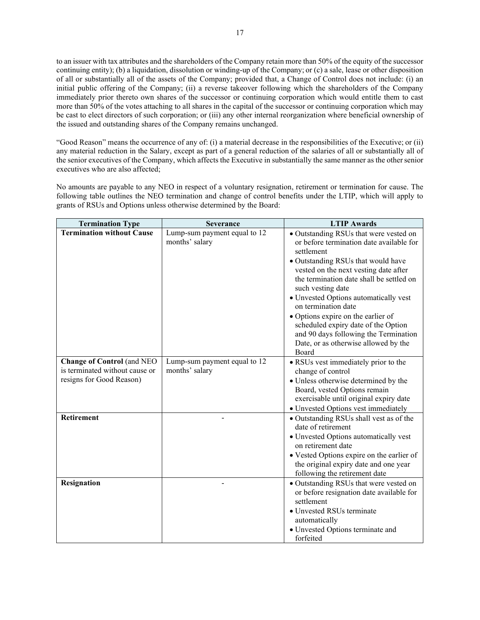to an issuer with tax attributes and the shareholders of the Company retain more than 50% of the equity of the successor continuing entity); (b) a liquidation, dissolution or winding-up of the Company; or  $(c)$  a sale, lease or other disposition of all or substantially all of the assets of the Company; provided that, a Change of Control does not include: (i) an initial public offering of the Company; (ii) a reverse takeover following which the shareholders of the Company immediately prior thereto own shares of the successor or continuing corporation which would entitle them to cast more than 50% of the votes attaching to all shares in the capital of the successor or continuing corporation which may be cast to elect directors of such corporation; or (iii) any other internal reorganization where beneficial ownership of the issued and outstanding shares of the Company remains unchanged.

"Good Reason" means the occurrence of any of: (i) a material decrease in the responsibilities of the Executive; or (ii) any material reduction in the Salary, except as part of a general reduction of the salaries of all or substantially all of the senior executives of the Company, which affects the Executive in substantially the same manner as the othersenior executives who are also affected;

No amounts are payable to any NEO in respect of a voluntary resignation, retirement or termination for cause. The following table outlines the NEO termination and change of control benefits under the LTIP, which will apply to grants of RSUs and Options unless otherwise determined by the Board:

| <b>Termination Type</b>                                               | <b>Severance</b>                               | <b>LTIP Awards</b>                                                                                                                                                                                                                                                                                                                                                                                                                                                                      |
|-----------------------------------------------------------------------|------------------------------------------------|-----------------------------------------------------------------------------------------------------------------------------------------------------------------------------------------------------------------------------------------------------------------------------------------------------------------------------------------------------------------------------------------------------------------------------------------------------------------------------------------|
| <b>Termination without Cause</b><br><b>Change of Control</b> (and NEO | Lump-sum payment equal to 12<br>months' salary | • Outstanding RSUs that were vested on<br>or before termination date available for<br>settlement<br>· Outstanding RSUs that would have<br>vested on the next vesting date after<br>the termination date shall be settled on<br>such vesting date<br>· Unvested Options automatically vest<br>on termination date<br>• Options expire on the earlier of<br>scheduled expiry date of the Option<br>and 90 days following the Termination<br>Date, or as otherwise allowed by the<br>Board |
| is terminated without cause or<br>resigns for Good Reason)            | Lump-sum payment equal to 12<br>months' salary | • RSUs vest immediately prior to the<br>change of control<br>• Unless otherwise determined by the<br>Board, vested Options remain<br>exercisable until original expiry date<br>· Unvested Options vest immediately                                                                                                                                                                                                                                                                      |
| Retirement                                                            |                                                | · Outstanding RSUs shall vest as of the<br>date of retirement<br>· Unvested Options automatically vest<br>on retirement date<br>• Vested Options expire on the earlier of<br>the original expiry date and one year<br>following the retirement date                                                                                                                                                                                                                                     |
| Resignation                                                           |                                                | • Outstanding RSUs that were vested on<br>or before resignation date available for<br>settlement<br>• Unvested RSUs terminate<br>automatically<br>· Unvested Options terminate and<br>forfeited                                                                                                                                                                                                                                                                                         |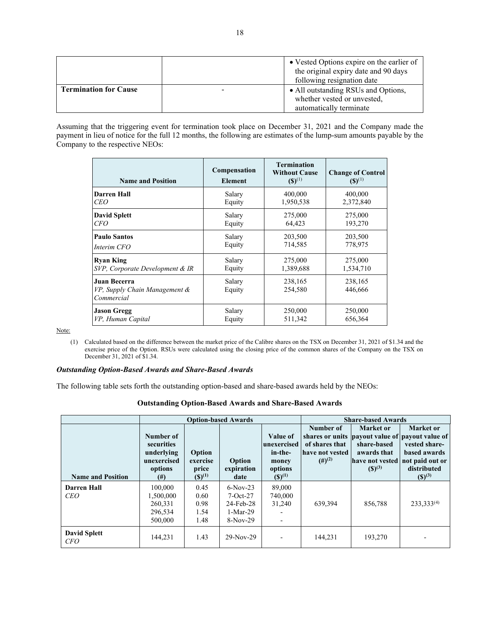|                              | • Vested Options expire on the earlier of<br>the original expiry date and 90 days<br>following resignation date |
|------------------------------|-----------------------------------------------------------------------------------------------------------------|
| <b>Termination for Cause</b> | • All outstanding RSUs and Options,<br>whether vested or unvested,<br>automatically terminate                   |

Assuming that the triggering event for termination took place on December 31, 2021 and the Company made the payment in lieu of notice for the full 12 months, the following are estimates of the lump-sum amounts payable by the Company to the respective NEOs:

| <b>Name and Position</b>                                    | Compensation<br><b>Element</b> | <b>Termination</b><br><b>Without Cause</b><br>$(S)^{(1)}$ | <b>Change of Control</b><br>$(S)^{(1)}$ |
|-------------------------------------------------------------|--------------------------------|-----------------------------------------------------------|-----------------------------------------|
| <b>Darren Hall</b>                                          | Salary                         | 400,000                                                   | 400,000                                 |
| CEO                                                         | Equity                         | 1,950,538                                                 | 2,372,840                               |
| <b>David Splett</b>                                         | Salary                         | 275,000                                                   | 275,000                                 |
| <i>CFO</i>                                                  | Equity                         | 64,423                                                    | 193,270                                 |
| <b>Paulo Santos</b>                                         | Salary                         | 203,500                                                   | 203,500                                 |
| Interim CFO                                                 | Equity                         | 714,585                                                   | 778,975                                 |
| <b>Ryan King</b>                                            | Salary                         | 275,000                                                   | 275,000                                 |
| SVP, Corporate Development & IR                             | Equity                         | 1,389,688                                                 | 1,534,710                               |
| Juan Becerra<br>VP, Supply Chain Management &<br>Commercial | Salary<br>Equity               | 238,165<br>254,580                                        | 238,165<br>446,666                      |
| <b>Jason Gregg</b>                                          | Salary                         | 250,000                                                   | 250,000                                 |
| VP, Human Capital                                           | Equity                         | 511,342                                                   | 656,364                                 |

Note:

(1) Calculated based on the difference between the market price of the Calibre shares on the TSX on December 31, 2021 of \$1.34 and the exercise price of the Option. RSUs were calculated using the closing price of the common shares of the Company on the TSX on December 31, 2021 of \$1.34.

### *Outstanding Option-Based Awards and Share-Based Awards*

The following table sets forth the outstanding option-based and share-based awards held by the NEOs:

| <b>Outstanding Option-Based Awards and Share-Based Awards</b> |  |  |  |
|---------------------------------------------------------------|--|--|--|
|                                                               |  |  |  |

|                                   | <b>Option-based Awards</b>                                                  |                                            |                                                                   |                                                                       | <b>Share-based Awards</b>                                              |                                                                           |                                                                                                                                                |
|-----------------------------------|-----------------------------------------------------------------------------|--------------------------------------------|-------------------------------------------------------------------|-----------------------------------------------------------------------|------------------------------------------------------------------------|---------------------------------------------------------------------------|------------------------------------------------------------------------------------------------------------------------------------------------|
| <b>Name and Position</b>          | Number of<br>securities<br>underlying<br>unexercised<br>options<br>$^{(#)}$ | Option<br>exercise<br>price<br>$(S)^{(1)}$ | Option<br>expiration<br>date                                      | Value of<br>unexercised<br>in-the-<br>money<br>options<br>$(S)^{(1)}$ | Number of<br>of shares that<br>have not vested<br>$(4)$ <sup>(2)</sup> | Market or<br>share-based<br>awards that<br>have not vested<br>$(S)^{(3)}$ | Market or<br>shares or units payout value of payout value of<br>vested share-<br>based awards<br>not paid out or<br>distributed<br>$(S)^{(3)}$ |
| Darren Hall<br><b>CEO</b>         | 100,000<br>1,500,000<br>260,331<br>296.534<br>500,000                       | 0.45<br>0.60<br>0.98<br>1.54<br>1.48       | $6-Nov-23$<br>$7-Oct-27$<br>24-Feb-28<br>$1-Mar-29$<br>$8-Nov-29$ | 89,000<br>740,000<br>31,240<br>$\overline{\phantom{a}}$               | 639.394                                                                | 856,788                                                                   | $233.333^{(4)}$                                                                                                                                |
| <b>David Splett</b><br><i>CFO</i> | 144,231                                                                     | 1.43                                       | $29-Nov-29$                                                       |                                                                       | 144.231                                                                | 193,270                                                                   |                                                                                                                                                |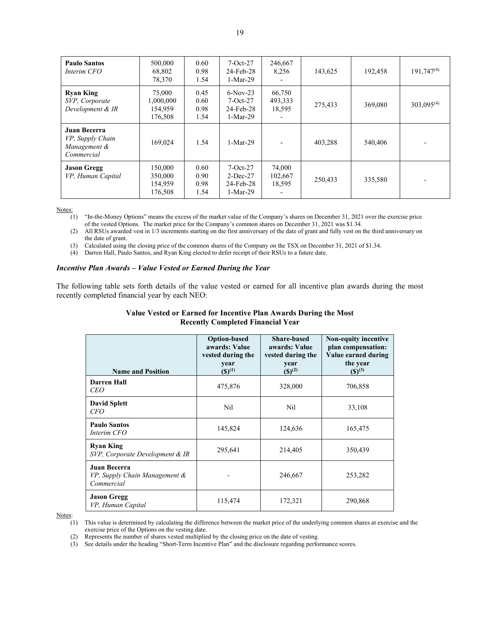| <b>Paulo Santos</b><br>Interim CFO                             | 500,000<br>68,802<br>78,370               | 0.60<br>0.98<br>1.54         | $7-Oct-27$<br>$24$ -Feb-28<br>$1-Mar-29$                | 246,667<br>8,256            | 143,625 | 192,458 | $191,747^{(4)}$ |
|----------------------------------------------------------------|-------------------------------------------|------------------------------|---------------------------------------------------------|-----------------------------|---------|---------|-----------------|
| <b>Ryan King</b><br>SVP, Corporate<br>Development & IR         | 75,000<br>1,000,000<br>154,959<br>176,508 | 0.45<br>0.60<br>0.98<br>1.54 | $6-Nov-23$<br>$7-Oct-27$<br>24-Feb-28<br>$1-Mar-29$     | 66,750<br>493,333<br>18,595 | 275,433 | 369,080 | $303,095^{(4)}$ |
| Juan Becerra<br>VP, Supply Chain<br>Management &<br>Commercial | 169,024                                   | 1.54                         | $1-Mar-29$                                              |                             | 403,288 | 540,406 |                 |
| <b>Jason Gregg</b><br>VP, Human Capital                        | 150,000<br>350,000<br>154.959<br>176,508  | 0.60<br>0.90<br>0.98<br>1.54 | $7-Oct-27$<br>$2$ -Dec-27<br>$24$ -Feb-28<br>$1-Mar-29$ | 74,000<br>102,667<br>18,595 | 250,433 | 335,580 |                 |

(1) "In-the-Money Options" means the excess of the market value of the Company's shares on December 31, 2021 over the exercise price of the vested Options. The market price for the Company's common shares on December 31, 2021 was \$1.34.

(2) All RSUs awarded vest in 1/3 increments starting on the first anniversary of the date of grant and fully vest on the third anniversary on the date of grant.

(3) Calculated using the closing price of the common shares of the Company on the TSX on December 31, 2021 of \$1.34.

(4) Darren Hall, Paulo Santos, and Ryan King elected to defer receipt of their RSUs to a future date.

### *Incentive Plan Awards – Value Vested or Earned During the Year*

The following table sets forth details of the value vested or earned for all incentive plan awards during the most recently completed financial year by each NEO:

# **Value Vested or Earned for Incentive Plan Awards During the Most Recently Completed Financial Year**

| <b>Name and Position</b>                                    | <b>Option-based</b><br>awards: Value<br>vested during the<br>year<br>$({\bf S})^{(1)}$ | <b>Share-based</b><br>awards: Value<br>vested during the<br>year<br>$(S)^{(2)}$ | <b>Non-equity incentive</b><br>plan compensation:<br>Value earned during<br>the year<br>$({\mathbb{S}})^{(3)}$ |
|-------------------------------------------------------------|----------------------------------------------------------------------------------------|---------------------------------------------------------------------------------|----------------------------------------------------------------------------------------------------------------|
| Darren Hall<br><b>CEO</b>                                   | 475,876                                                                                | 328,000                                                                         | 706,858                                                                                                        |
| <b>David Splett</b><br><i>CFO</i>                           | Nil                                                                                    | Nil                                                                             | 33,108                                                                                                         |
| <b>Paulo Santos</b><br>Interim CFO                          | 145,824                                                                                | 124,636                                                                         | 165,475                                                                                                        |
| <b>Ryan King</b><br>SVP, Corporate Development & IR         | 295,641                                                                                | 214,405                                                                         | 350,439                                                                                                        |
| Juan Becerra<br>VP, Supply Chain Management &<br>Commercial |                                                                                        | 246,667                                                                         | 253,282                                                                                                        |
| <b>Jason Gregg</b><br>VP, Human Capital                     | 115,474                                                                                | 172,321                                                                         | 290,868                                                                                                        |

Notes:

(1) This value is determined by calculating the difference between the market price of the underlying common shares at exercise and the exercise price of the Options on the vesting date.

(2) Represents the number of shares vested multiplied by the closing price on the date of vesting.

(3) See details under the heading "Short-Term Incentive Plan" and the disclosure regarding performance scores.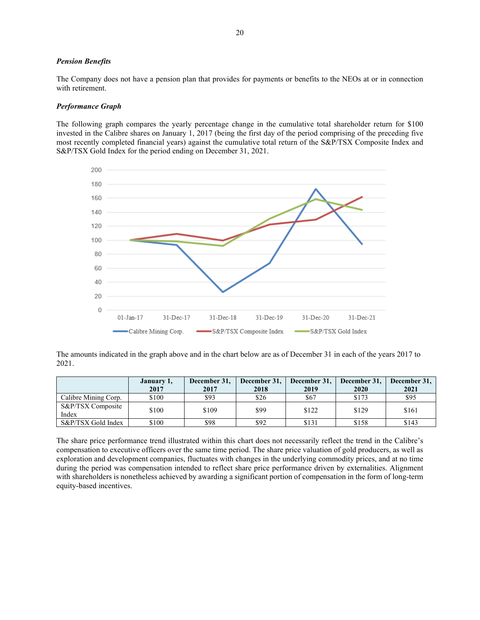### *Pension Benefits*

The Company does not have a pension plan that provides for payments or benefits to the NEOs at or in connection with retirement.

### *Performance Graph*

The following graph compares the yearly percentage change in the cumulative total shareholder return for \$100 invested in the Calibre shares on January 1, 2017 (being the first day of the period comprising of the preceding five most recently completed financial years) against the cumulative total return of the S&P/TSX Composite Index and S&P/TSX Gold Index for the period ending on December 31, 2021.



The amounts indicated in the graph above and in the chart below are as of December 31 in each of the years 2017 to 2021.

|                            | January 1, | December 31,<br>December 31,<br>December 31.<br>December 31. |      |       |       | December 31, |
|----------------------------|------------|--------------------------------------------------------------|------|-------|-------|--------------|
|                            | 2017       | 2017                                                         | 2018 | 2019  | 2020  | 2021         |
| Calibre Mining Corp.       | \$100      | \$93                                                         | \$26 | \$67  | \$173 | \$95         |
| S&P/TSX Composite<br>Index | \$100      | \$109                                                        | \$99 | \$122 | \$129 | \$161        |
| S&P/TSX Gold Index         | \$100      | \$98                                                         | \$92 | \$131 | \$158 | \$143        |

The share price performance trend illustrated within this chart does not necessarily reflect the trend in the Calibre's compensation to executive officers over the same time period. The share price valuation of gold producers, as well as exploration and development companies, fluctuates with changes in the underlying commodity prices, and at no time during the period was compensation intended to reflect share price performance driven by externalities. Alignment with shareholders is nonetheless achieved by awarding a significant portion of compensation in the form of long-term equity-based incentives.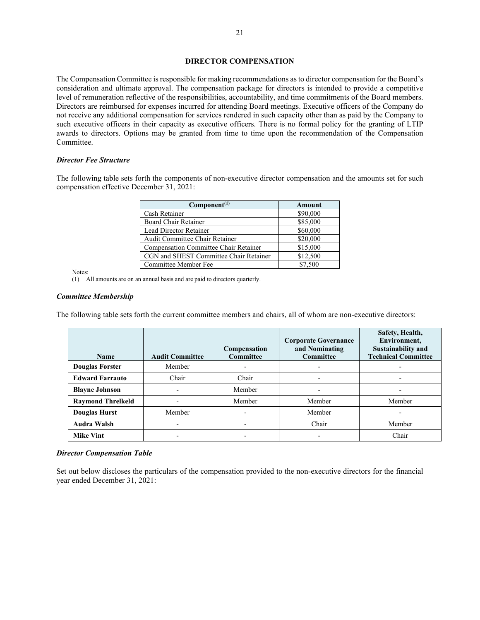# **DIRECTOR COMPENSATION**

The Compensation Committee is responsible for making recommendations as to director compensation for the Board's consideration and ultimate approval. The compensation package for directors is intended to provide a competitive level of remuneration reflective of the responsibilities, accountability, and time commitments of the Board members. Directors are reimbursed for expenses incurred for attending Board meetings. Executive officers of the Company do not receive any additional compensation for services rendered in such capacity other than as paid by the Company to such executive officers in their capacity as executive officers. There is no formal policy for the granting of LTIP awards to directors. Options may be granted from time to time upon the recommendation of the Compensation Committee.

# *Director Fee Structure*

The following table sets forth the components of non-executive director compensation and the amounts set for such compensation effective December 31, 2021:

| Component <sup>(1)</sup>               | Amount   |
|----------------------------------------|----------|
| Cash Retainer                          | \$90,000 |
| Board Chair Retainer                   | \$85,000 |
| Lead Director Retainer                 | \$60,000 |
| Audit Committee Chair Retainer         | \$20,000 |
| Compensation Committee Chair Retainer  | \$15,000 |
| CGN and SHEST Committee Chair Retainer | \$12,500 |
| Committee Member Fee                   | \$7,500  |

Notes:

 $\overline{(1)}$  All amounts are on an annual basis and are paid to directors quarterly.

### *Committee Membership*

The following table sets forth the current committee members and chairs, all of whom are non-executive directors:

| <b>Name</b>              | <b>Audit Committee</b> | Compensation<br><b>Committee</b> | <b>Corporate Governance</b><br>and Nominating<br>Committee | Safety, Health,<br>Environment,<br><b>Sustainability and</b><br><b>Technical Committee</b> |
|--------------------------|------------------------|----------------------------------|------------------------------------------------------------|--------------------------------------------------------------------------------------------|
| <b>Douglas Forster</b>   | Member                 |                                  | $\overline{\phantom{0}}$                                   |                                                                                            |
| <b>Edward Farrauto</b>   | Chair                  | Chair                            | ٠                                                          |                                                                                            |
| <b>Blayne Johnson</b>    |                        | Member                           | $\overline{\phantom{a}}$                                   |                                                                                            |
| <b>Raymond Threlkeld</b> |                        | Member                           | Member                                                     | Member                                                                                     |
| <b>Douglas Hurst</b>     | Member                 |                                  | Member                                                     |                                                                                            |
| <b>Audra Walsh</b>       |                        | $\overline{\phantom{0}}$         | Chair                                                      | Member                                                                                     |
| <b>Mike Vint</b>         |                        |                                  | $\overline{\phantom{0}}$                                   | Chair                                                                                      |

#### *Director Compensation Table*

Set out below discloses the particulars of the compensation provided to the non-executive directors for the financial year ended December 31, 2021: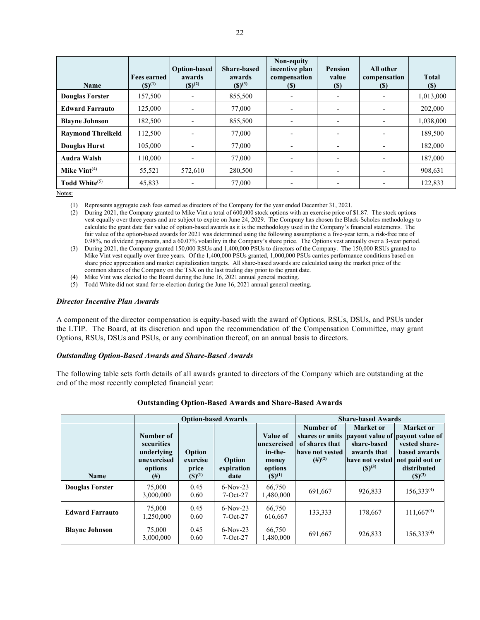| Name                     | <b>Fees earned</b><br>$(S)^{(1)}$ | <b>Option-based</b><br>awards<br>$(S)^{(2)}$ | <b>Share-based</b><br>awards<br>$({\mathbb{S}})^{(3)}$ | Non-equity<br>incentive plan<br>compensation<br>(S) | <b>Pension</b><br>value<br>(S) | All other<br>compensation<br><b>(S)</b> | <b>Total</b><br>$(\$)$ |
|--------------------------|-----------------------------------|----------------------------------------------|--------------------------------------------------------|-----------------------------------------------------|--------------------------------|-----------------------------------------|------------------------|
| <b>Douglas Forster</b>   | 157,500                           | $\overline{\phantom{0}}$                     | 855,500                                                |                                                     | $\overline{\phantom{a}}$       |                                         | 1,013,000              |
| <b>Edward Farrauto</b>   | 125,000                           | $\overline{\phantom{0}}$                     | 77,000                                                 |                                                     | $\overline{\phantom{a}}$       |                                         | 202,000                |
| <b>Blayne Johnson</b>    | 182,500                           |                                              | 855,500                                                |                                                     | $\overline{\phantom{a}}$       |                                         | 1,038,000              |
| <b>Raymond Threlkeld</b> | 112,500                           | $\overline{\phantom{0}}$                     | 77,000                                                 | -                                                   | $\overline{\phantom{a}}$       | -                                       | 189,500                |
| Douglas Hurst            | 105,000                           | $\overline{\phantom{a}}$                     | 77,000                                                 | ٠                                                   | $\overline{\phantom{0}}$       | -                                       | 182,000                |
| <b>Audra Walsh</b>       | 110,000                           | $\overline{\phantom{a}}$                     | 77,000                                                 | -                                                   | $\overline{\phantom{a}}$       | $\overline{\phantom{a}}$                | 187,000                |
| Mike $Vint^{(4)}$        | 55,521                            | 572,610                                      | 280,500                                                | $\overline{\phantom{0}}$                            | $\overline{\phantom{a}}$       | $\overline{\phantom{0}}$                | 908,631                |
| Todd White $(5)$         | 45,833                            | $\overline{\phantom{0}}$                     | 77,000                                                 |                                                     | $\overline{\phantom{a}}$       |                                         | 122,833                |

(1) Represents aggregate cash fees earned as directors of the Company for the year ended December 31, 2021.

(2) During 2021, the Company granted to Mike Vint a total of 600,000 stock options with an exercise price of \$1.87. The stock options vest equally over three years and are subject to expire on June 24, 2029. The Company has chosen the Black-Scholes methodology to calculate the grant date fair value of option-based awards as it is the methodology used in the Company's financial statements. The fair value of the option-based awards for 2021 was determined using the following assumptions: a five-year term, a risk-free rate of 0.98%, no dividend payments, and a 60.07% volatility in the Company's share price. The Options vest annually over a 3-year period.

(3) During 2021, the Company granted 150,000 RSUs and 1,400,000 PSUs to directors of the Company. The 150,000 RSUs granted to Mike Vint vest equally over three years. Of the 1,400,000 PSUs granted, 1,000,000 PSUs carries performance conditions based on share price appreciation and market capitalization targets. All share-based awards are calculated using the market price of the common shares of the Company on the TSX on the last trading day prior to the grant date.

(4) Mike Vint was elected to the Board during the June 16, 2021 annual general meeting.

(5) Todd White did not stand for re-election during the June 16, 2021 annual general meeting.

### *Director Incentive Plan Awards*

A component of the director compensation is equity-based with the award of Options, RSUs, DSUs, and PSUs under the LTIP. The Board, at its discretion and upon the recommendation of the Compensation Committee, may grant Options, RSUs, DSUs and PSUs, or any combination thereof, on an annual basis to directors.

#### *Outstanding Option-Based Awards and Share-Based Awards*

The following table sets forth details of all awards granted to directors of the Company which are outstanding at the end of the most recently completed financial year:

|                        |                                                                             |                                            | <b>Option-based Awards</b>   |                                                                        |                                                                        | <b>Share-based Awards</b>                                                                 |                                                                                                                             |
|------------------------|-----------------------------------------------------------------------------|--------------------------------------------|------------------------------|------------------------------------------------------------------------|------------------------------------------------------------------------|-------------------------------------------------------------------------------------------|-----------------------------------------------------------------------------------------------------------------------------|
| <b>Name</b>            | Number of<br>securities<br>underlying<br>unexercised<br>options<br>$^{(#)}$ | Option<br>exercise<br>price<br>$(S)^{(1)}$ | Option<br>expiration<br>date | Value of<br> unexercised<br>in-the-<br>money<br>options<br>$(S)^{(1)}$ | Number of<br>of shares that<br>have not vested<br>$(4)$ <sup>(2)</sup> | Market or<br>share-based<br>awards that<br>have not vested not paid out or<br>$(S)^{(3)}$ | Market or<br>shares or units payout value of payout value of<br>vested share-<br>based awards<br>distributed<br>$(S)^{(3)}$ |
| <b>Douglas Forster</b> | 75,000<br>3,000,000                                                         | 0.45<br>0.60                               | $6-Nov-23$<br>$7-Oct-27$     | 66,750<br>1.480.000                                                    | 691,667                                                                | 926,833                                                                                   | $156.333^{(4)}$                                                                                                             |
| <b>Edward Farrauto</b> | 75,000<br>1,250,000                                                         | 0.45<br>0.60                               | $6-Nov-23$<br>$7-Oct-27$     | 66,750<br>616,667                                                      | 133,333                                                                | 178,667                                                                                   | $111.667^{(4)}$                                                                                                             |
| <b>Blavne Johnson</b>  | 75,000<br>3,000,000                                                         | 0.45<br>0.60                               | $6-Nov-23$<br>$7-Oct-27$     | 66,750<br>1,480,000                                                    | 691,667                                                                | 926,833                                                                                   | $156,333^{(4)}$                                                                                                             |

#### **Outstanding Option-Based Awards and Share-Based Awards**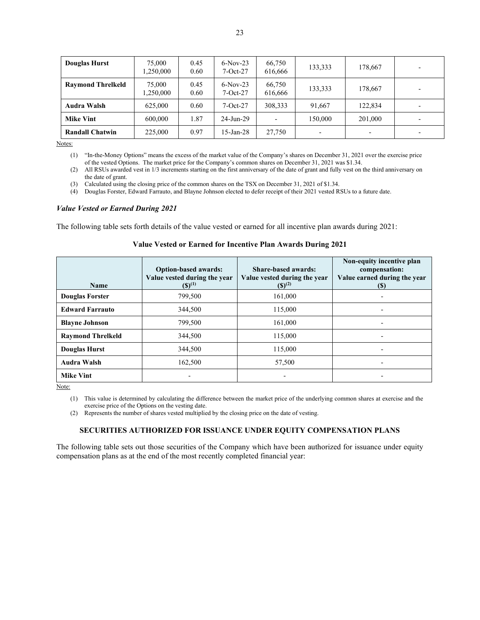| <b>Douglas Hurst</b>     | 75,000<br>,250,000 | 0.45<br>0.60 | $6-Nov-23$<br>$7-Oct-27$ | 66,750<br>616,666        | 133,333                  | 178,667                  |  |
|--------------------------|--------------------|--------------|--------------------------|--------------------------|--------------------------|--------------------------|--|
| <b>Raymond Threlkeld</b> | 75,000<br>,250,000 | 0.45<br>0.60 | $6-Nov-23$<br>$7-Oct-27$ | 66,750<br>616.666        | 133,333                  | 178,667                  |  |
| Audra Walsh              | 625,000            | 0.60         | $7-Oct-27$               | 308,333                  | 91.667                   | 122,834                  |  |
| <b>Mike Vint</b>         | 600,000            | 1.87         | 24-Jun-29                | $\overline{\phantom{0}}$ | 150,000                  | 201,000                  |  |
| <b>Randall Chatwin</b>   | 225,000            | 0.97         | $15$ -Jan-28             | 27,750                   | $\overline{\phantom{0}}$ | $\overline{\phantom{a}}$ |  |

(4) Douglas Forster, Edward Farrauto, and Blayne Johnson elected to defer receipt of their 2021 vested RSUs to a future date.

#### *Value Vested or Earned During 2021*

The following table sets forth details of the value vested or earned for all incentive plan awards during 2021:

| Name                     | <b>Option-based awards:</b><br>Value vested during the year<br>$(S)^{(1)}$ | Share-based awards:<br>Value vested during the year<br>$(S)^{(2)}$ | Non-equity incentive plan<br>compensation:<br>Value earned during the year<br>(S) |
|--------------------------|----------------------------------------------------------------------------|--------------------------------------------------------------------|-----------------------------------------------------------------------------------|
| <b>Douglas Forster</b>   | 799,500                                                                    | 161,000                                                            |                                                                                   |
| <b>Edward Farrauto</b>   | 344,500                                                                    | 115,000                                                            |                                                                                   |
| <b>Blayne Johnson</b>    | 799,500                                                                    | 161,000                                                            |                                                                                   |
| <b>Raymond Threlkeld</b> | 344,500                                                                    | 115,000                                                            | $\overline{\phantom{0}}$                                                          |
| <b>Douglas Hurst</b>     | 344,500                                                                    | 115,000                                                            | $\overline{\phantom{0}}$                                                          |
| <b>Audra Walsh</b>       | 162,500                                                                    | 57,500                                                             |                                                                                   |
| <b>Mike Vint</b>         |                                                                            |                                                                    |                                                                                   |

# **Value Vested or Earned for Incentive Plan Awards During 2021**

Note:

(2) Represents the number of shares vested multiplied by the closing price on the date of vesting.

# **SECURITIES AUTHORIZED FOR ISSUANCE UNDER EQUITY COMPENSATION PLANS**

The following table sets out those securities of the Company which have been authorized for issuance under equity compensation plans as at the end of the most recently completed financial year:

<sup>(1)</sup> "In-the-Money Options" means the excess of the market value of the Company's shares on December 31, 2021 over the exercise price of the vested Options. The market price for the Company's common shares on December 31, 2021 was \$1.34.

<sup>(2)</sup> All RSUs awarded vest in 1/3 increments starting on the first anniversary of the date of grant and fully vest on the third anniversary on the date of grant.

<sup>(3)</sup> Calculated using the closing price of the common shares on the TSX on December 31, 2021 of \$1.34.

<sup>(1)</sup> This value is determined by calculating the difference between the market price of the underlying common shares at exercise and the exercise price of the Options on the vesting date.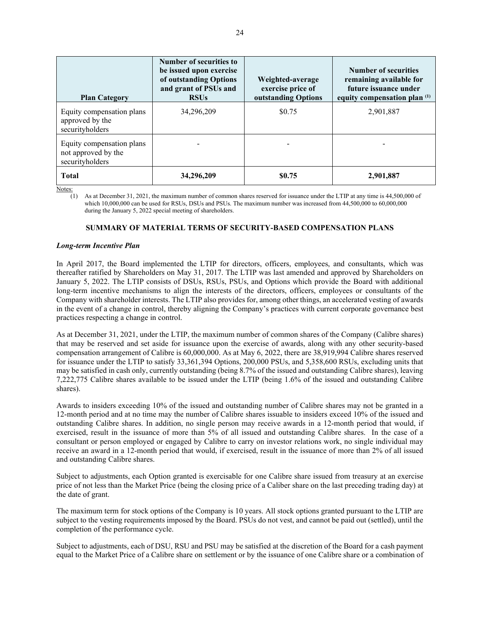| <b>Plan Category</b>                                                | Number of securities to<br>be issued upon exercise<br>of outstanding Options<br>and grant of PSUs and<br><b>RSUs</b> | Weighted-average<br>exercise price of<br>outstanding Options | <b>Number of securities</b><br>remaining available for<br>future issuance under<br>equity compensation plan $(1)$ |
|---------------------------------------------------------------------|----------------------------------------------------------------------------------------------------------------------|--------------------------------------------------------------|-------------------------------------------------------------------------------------------------------------------|
| Equity compensation plans<br>approved by the<br>securityholders     | 34,296,209                                                                                                           | \$0.75                                                       | 2,901,887                                                                                                         |
| Equity compensation plans<br>not approved by the<br>securityholders |                                                                                                                      |                                                              |                                                                                                                   |
| <b>Total</b>                                                        | 34,296,209                                                                                                           | \$0.75                                                       | 2,901,887                                                                                                         |

(1) As at December 31, 2021, the maximum number of common shares reserved for issuance under the LTIP at any time is 44,500,000 of which 10,000,000 can be used for RSUs, DSUs and PSUs. The maximum number was increased from 44,500,000 to 60,000,000 during the January 5, 2022 special meeting of shareholders.

# **SUMMARY OF MATERIAL TERMS OF SECURITY-BASED COMPENSATION PLANS**

## *Long-term Incentive Plan*

In April 2017, the Board implemented the LTIP for directors, officers, employees, and consultants, which was thereafter ratified by Shareholders on May 31, 2017. The LTIP was last amended and approved by Shareholders on January 5, 2022. The LTIP consists of DSUs, RSUs, PSUs, and Options which provide the Board with additional long-term incentive mechanisms to align the interests of the directors, officers, employees or consultants of the Company with shareholder interests. The LTIP also provides for, among other things, an accelerated vesting of awards in the event of a change in control, thereby aligning the Company's practices with current corporate governance best practices respecting a change in control.

As at December 31, 2021, under the LTIP, the maximum number of common shares of the Company (Calibre shares) that may be reserved and set aside for issuance upon the exercise of awards, along with any other security-based compensation arrangement of Calibre is 60,000,000. As at May 6, 2022, there are 38,919,994 Calibre shares reserved for issuance under the LTIP to satisfy 33,361,394 Options, 200,000 PSUs, and 5,358,600 RSUs, excluding units that may be satisfied in cash only, currently outstanding (being 8.7% of the issued and outstanding Calibre shares), leaving 7,222,775 Calibre shares available to be issued under the LTIP (being 1.6% of the issued and outstanding Calibre shares).

Awards to insiders exceeding 10% of the issued and outstanding number of Calibre shares may not be granted in a 12-month period and at no time may the number of Calibre shares issuable to insiders exceed 10% of the issued and outstanding Calibre shares. In addition, no single person may receive awards in a 12-month period that would, if exercised, result in the issuance of more than 5% of all issued and outstanding Calibre shares. In the case of a consultant or person employed or engaged by Calibre to carry on investor relations work, no single individual may receive an award in a 12-month period that would, if exercised, result in the issuance of more than 2% of all issued and outstanding Calibre shares.

Subject to adjustments, each Option granted is exercisable for one Calibre share issued from treasury at an exercise price of not less than the Market Price (being the closing price of a Caliber share on the last preceding trading day) at the date of grant.

The maximum term for stock options of the Company is 10 years. All stock options granted pursuant to the LTIP are subject to the vesting requirements imposed by the Board. PSUs do not vest, and cannot be paid out (settled), until the completion of the performance cycle.

Subject to adjustments, each of DSU, RSU and PSU may be satisfied at the discretion of the Board for a cash payment equal to the Market Price of a Calibre share on settlement or by the issuance of one Calibre share or a combination of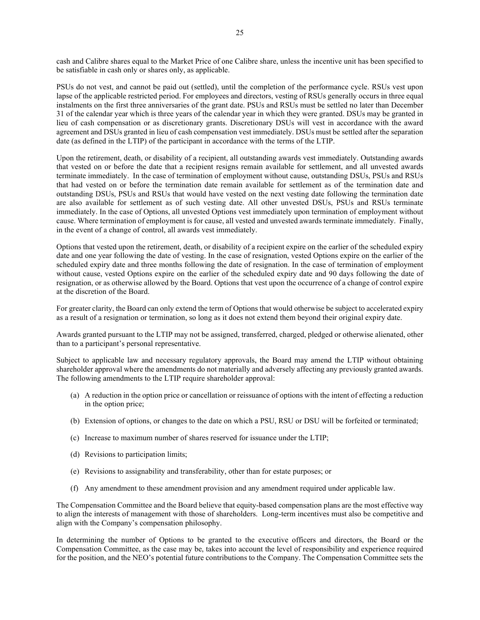cash and Calibre shares equal to the Market Price of one Calibre share, unless the incentive unit has been specified to be satisfiable in cash only or shares only, as applicable.

PSUs do not vest, and cannot be paid out (settled), until the completion of the performance cycle. RSUs vest upon lapse of the applicable restricted period. For employees and directors, vesting of RSUs generally occurs in three equal instalments on the first three anniversaries of the grant date. PSUs and RSUs must be settled no later than December 31 of the calendar year which is three years of the calendar year in which they were granted. DSUs may be granted in lieu of cash compensation or as discretionary grants. Discretionary DSUs will vest in accordance with the award agreement and DSUs granted in lieu of cash compensation vest immediately. DSUs must be settled after the separation date (as defined in the LTIP) of the participant in accordance with the terms of the LTIP.

Upon the retirement, death, or disability of a recipient, all outstanding awards vest immediately. Outstanding awards that vested on or before the date that a recipient resigns remain available for settlement, and all unvested awards terminate immediately. In the case of termination of employment without cause, outstanding DSUs, PSUs and RSUs that had vested on or before the termination date remain available for settlement as of the termination date and outstanding DSUs, PSUs and RSUs that would have vested on the next vesting date following the termination date are also available for settlement as of such vesting date. All other unvested DSUs, PSUs and RSUs terminate immediately. In the case of Options, all unvested Options vest immediately upon termination of employment without cause. Where termination of employment is for cause, all vested and unvested awards terminate immediately. Finally, in the event of a change of control, all awards vest immediately.

Options that vested upon the retirement, death, or disability of a recipient expire on the earlier of the scheduled expiry date and one year following the date of vesting. In the case of resignation, vested Options expire on the earlier of the scheduled expiry date and three months following the date of resignation. In the case of termination of employment without cause, vested Options expire on the earlier of the scheduled expiry date and 90 days following the date of resignation, or as otherwise allowed by the Board. Options that vest upon the occurrence of a change of control expire at the discretion of the Board.

For greater clarity, the Board can only extend the term of Options that would otherwise be subject to accelerated expiry as a result of a resignation or termination, so long as it does not extend them beyond their original expiry date.

Awards granted pursuant to the LTIP may not be assigned, transferred, charged, pledged or otherwise alienated, other than to a participant's personal representative.

Subject to applicable law and necessary regulatory approvals, the Board may amend the LTIP without obtaining shareholder approval where the amendments do not materially and adversely affecting any previously granted awards. The following amendments to the LTIP require shareholder approval:

- (a) A reduction in the option price or cancellation or reissuance of options with the intent of effecting a reduction in the option price;
- (b) Extension of options, or changes to the date on which a PSU, RSU or DSU will be forfeited or terminated;
- (c) Increase to maximum number of shares reserved for issuance under the LTIP;
- (d) Revisions to participation limits;
- (e) Revisions to assignability and transferability, other than for estate purposes; or
- (f) Any amendment to these amendment provision and any amendment required under applicable law.

The Compensation Committee and the Board believe that equity-based compensation plans are the most effective way to align the interests of management with those of shareholders. Long-term incentives must also be competitive and align with the Company's compensation philosophy.

In determining the number of Options to be granted to the executive officers and directors, the Board or the Compensation Committee, as the case may be, takes into account the level of responsibility and experience required for the position, and the NEO's potential future contributions to the Company. The Compensation Committee sets the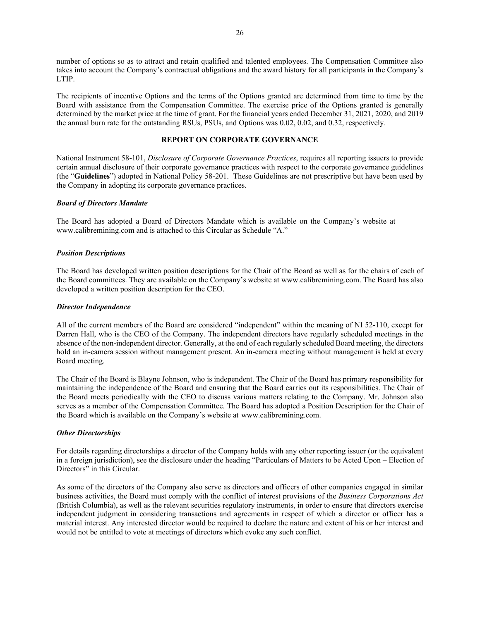number of options so as to attract and retain qualified and talented employees. The Compensation Committee also takes into account the Company's contractual obligations and the award history for all participants in the Company's LTIP.

The recipients of incentive Options and the terms of the Options granted are determined from time to time by the Board with assistance from the Compensation Committee. The exercise price of the Options granted is generally determined by the market price at the time of grant. For the financial years ended December 31, 2021, 2020, and 2019 the annual burn rate for the outstanding RSUs, PSUs, and Options was 0.02, 0.02, and 0.32, respectively.

# **REPORT ON CORPORATE GOVERNANCE**

National Instrument 58-101, *Disclosure of Corporate Governance Practices*, requires all reporting issuers to provide certain annual disclosure of their corporate governance practices with respect to the corporate governance guidelines (the "**Guidelines**") adopted in National Policy 58-201. These Guidelines are not prescriptive but have been used by the Company in adopting its corporate governance practices.

## *Board of Directors Mandate*

The Board has adopted a Board of Directors Mandate which is available on the Company's website at www.calibremining.com and is attached to this Circular as Schedule "A."

# *Position Descriptions*

The Board has developed written position descriptions for the Chair of the Board as well as for the chairs of each of the Board committees. They are available on the Company's website at www.calibremining.com. The Board has also developed a written position description for the CEO.

## *Director Independence*

All of the current members of the Board are considered "independent" within the meaning of NI 52-110, except for Darren Hall, who is the CEO of the Company. The independent directors have regularly scheduled meetings in the absence of the non-independent director. Generally, at the end of each regularly scheduled Board meeting, the directors hold an in-camera session without management present. An in-camera meeting without management is held at every Board meeting.

The Chair of the Board is Blayne Johnson, who is independent. The Chair of the Board has primary responsibility for maintaining the independence of the Board and ensuring that the Board carries out its responsibilities. The Chair of the Board meets periodically with the CEO to discuss various matters relating to the Company. Mr. Johnson also serves as a member of the Compensation Committee. The Board has adopted a Position Description for the Chair of the Board which is available on the Company's website at www.calibremining.com.

# *Other Directorships*

For details regarding directorships a director of the Company holds with any other reporting issuer (or the equivalent in a foreign jurisdiction), see the disclosure under the heading "Particulars of Matters to be Acted Upon – Election of Directors" in this Circular.

As some of the directors of the Company also serve as directors and officers of other companies engaged in similar business activities, the Board must comply with the conflict of interest provisions of the *Business Corporations Act*  (British Columbia), as well as the relevant securities regulatory instruments, in order to ensure that directors exercise independent judgment in considering transactions and agreements in respect of which a director or officer has a material interest. Any interested director would be required to declare the nature and extent of his or her interest and would not be entitled to vote at meetings of directors which evoke any such conflict.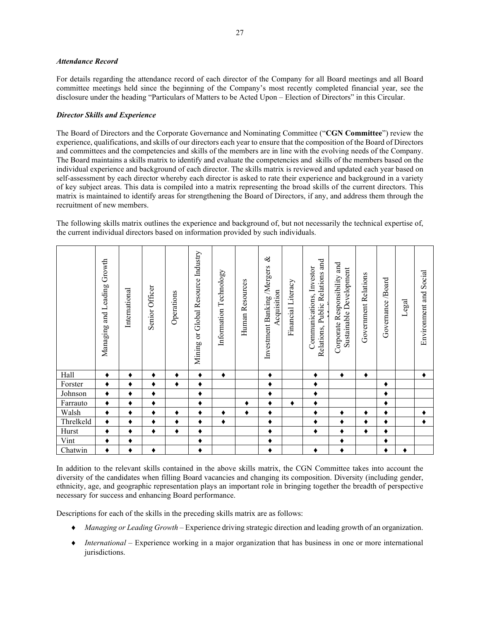# *Attendance Record*

For details regarding the attendance record of each director of the Company for all Board meetings and all Board committee meetings held since the beginning of the Company's most recently completed financial year, see the disclosure under the heading "Particulars of Matters to be Acted Upon – Election of Directors" in this Circular.

# *Director Skills and Experience*

The Board of Directors and the Corporate Governance and Nominating Committee ("**CGN Committee**") review the experience, qualifications, and skills of our directors each year to ensure that the composition of the Board of Directors and committees and the competencies and skills of the members are in line with the evolving needs of the Company. The Board maintains a skills matrix to identify and evaluate the competencies and skills of the members based on the individual experience and background of each director. The skills matrix is reviewed and updated each year based on self-assessment by each director whereby each director is asked to rate their experience and background in a variety of key subject areas. This data is compiled into a matrix representing the broad skills of the current directors. This matrix is maintained to identify areas for strengthening the Board of Directors, if any, and address them through the recruitment of new members.

The following skills matrix outlines the experience and background of, but not necessarily the technical expertise of, the current individual directors based on information provided by such individuals.

|           | Managing and Leading Growth | International | Senior Officer | Operations | Mining or Global Resource Industry | Technology<br>Information | Resources<br>Human | $\infty$<br>Investment Banking/Mergers<br>Acquisition | Financial Literacy | and<br>Investor<br><b>Public Relations</b><br>Communications,<br>Relations, | and<br>Sustainable Development<br>Corporate Responsibility | Government Relations | Board<br>Governance | Legal | Social<br>Environment and |
|-----------|-----------------------------|---------------|----------------|------------|------------------------------------|---------------------------|--------------------|-------------------------------------------------------|--------------------|-----------------------------------------------------------------------------|------------------------------------------------------------|----------------------|---------------------|-------|---------------------------|
| Hall      | ٠                           | ٠             | $\bullet$      | ٠          | ٠                                  | ٠                         |                    | ٠                                                     |                    | ٠                                                                           | $\bullet$                                                  | ٠                    |                     |       | ٠                         |
| Forster   | ٠                           | ٠             |                | ٠          | ٠                                  |                           |                    | ٠                                                     |                    | ٠                                                                           |                                                            |                      | ٠                   |       |                           |
| Johnson   | ٠                           | ٠             |                |            | ٠                                  |                           |                    | ٠                                                     |                    | ٠                                                                           |                                                            |                      |                     |       |                           |
| Farrauto  | ٠                           | ٠             |                |            | ٠                                  |                           | ٠                  | ٠                                                     | ٠                  | ٠                                                                           |                                                            |                      | ٠                   |       |                           |
| Walsh     | ٠                           | ٠             |                | ٠          | ٠                                  | ٠                         | ٠                  | ٠                                                     |                    | ٠                                                                           | ٠                                                          | ٠                    | ٠                   |       | ٠                         |
| Threlkeld | ٠                           | ٠             |                |            | ٠                                  | ٠                         |                    | ٠                                                     |                    | ٠                                                                           | ٠                                                          | ٠                    | ٠                   |       |                           |
| Hurst     | ٠                           | ٠             | ٠              | ٠          | ٠                                  |                           |                    | ٠                                                     |                    | ٠                                                                           | ٠                                                          | ٠                    | ٠                   |       |                           |
| Vint      | ٠                           | ٠             |                |            | ٠                                  |                           |                    | ٠                                                     |                    |                                                                             | ٠                                                          |                      | ٠                   |       |                           |
| Chatwin   | ٠                           | ٠             |                |            | ٠                                  |                           |                    | ٠                                                     |                    | ٠                                                                           | ٠                                                          |                      | ٠                   |       |                           |

In addition to the relevant skills contained in the above skills matrix, the CGN Committee takes into account the diversity of the candidates when filling Board vacancies and changing its composition. Diversity (including gender, ethnicity, age, and geographic representation plays an important role in bringing together the breadth of perspective necessary for success and enhancing Board performance.

Descriptions for each of the skills in the preceding skills matrix are as follows:

- ♦ *Managing or Leading Growth* Experience driving strategic direction and leading growth of an organization.
- ♦ *International* Experience working in a major organization that has business in one or more international jurisdictions.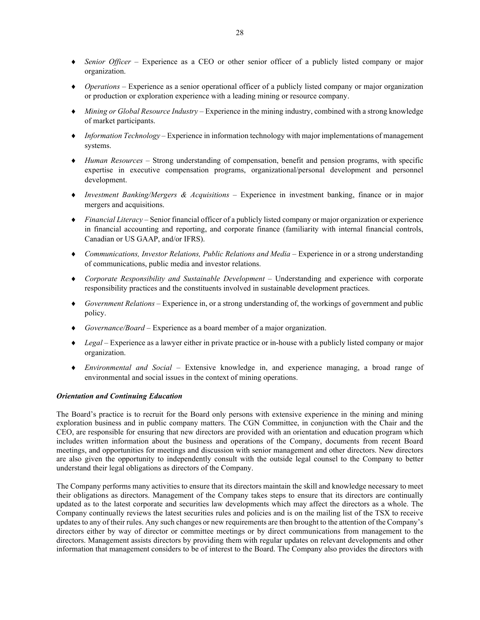- ♦ *Senior Officer* Experience as a CEO or other senior officer of a publicly listed company or major organization.
- ♦ *Operations* Experience as a senior operational officer of a publicly listed company or major organization or production or exploration experience with a leading mining or resource company.
- ♦ *Mining or Global Resource Industry* Experience in the mining industry, combined with a strong knowledge of market participants.
- ♦ *Information Technology* Experience in information technology with major implementations of management systems.
- ♦ *Human Resources* Strong understanding of compensation, benefit and pension programs, with specific expertise in executive compensation programs, organizational/personal development and personnel development.
- ♦ *Investment Banking/Mergers & Acquisitions* Experience in investment banking, finance or in major mergers and acquisitions.
- ♦ *Financial Literacy* Senior financial officer of a publicly listed company or major organization or experience in financial accounting and reporting, and corporate finance (familiarity with internal financial controls, Canadian or US GAAP, and/or IFRS).
- ♦ *Communications, Investor Relations, Public Relations and Media* Experience in or a strong understanding of communications, public media and investor relations.
- ♦ *Corporate Responsibility and Sustainable Development* Understanding and experience with corporate responsibility practices and the constituents involved in sustainable development practices.
- ♦ *Government Relations* Experience in, or a strong understanding of, the workings of government and public policy.
- ♦ *Governance/Board* Experience as a board member of a major organization.
- ♦ *Legal* Experience as a lawyer either in private practice or in-house with a publicly listed company or major organization.
- ♦ *Environmental and Social* Extensive knowledge in, and experience managing, a broad range of environmental and social issues in the context of mining operations.

# *Orientation and Continuing Education*

The Board's practice is to recruit for the Board only persons with extensive experience in the mining and mining exploration business and in public company matters. The CGN Committee, in conjunction with the Chair and the CEO, are responsible for ensuring that new directors are provided with an orientation and education program which includes written information about the business and operations of the Company, documents from recent Board meetings, and opportunities for meetings and discussion with senior management and other directors. New directors are also given the opportunity to independently consult with the outside legal counsel to the Company to better understand their legal obligations as directors of the Company.

The Company performs many activities to ensure that its directors maintain the skill and knowledge necessary to meet their obligations as directors. Management of the Company takes steps to ensure that its directors are continually updated as to the latest corporate and securities law developments which may affect the directors as a whole. The Company continually reviews the latest securities rules and policies and is on the mailing list of the TSX to receive updates to any of their rules. Any such changes or new requirements are then brought to the attention of the Company's directors either by way of director or committee meetings or by direct communications from management to the directors. Management assists directors by providing them with regular updates on relevant developments and other information that management considers to be of interest to the Board. The Company also provides the directors with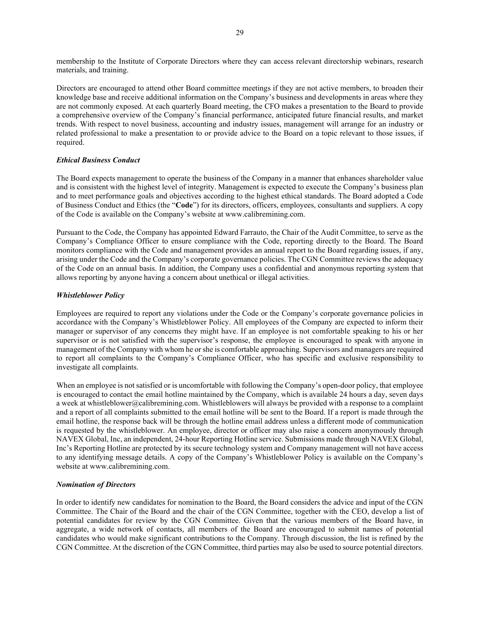membership to the Institute of Corporate Directors where they can access relevant directorship webinars, research materials, and training.

Directors are encouraged to attend other Board committee meetings if they are not active members, to broaden their knowledge base and receive additional information on the Company's business and developments in areas where they are not commonly exposed. At each quarterly Board meeting, the CFO makes a presentation to the Board to provide a comprehensive overview of the Company's financial performance, anticipated future financial results, and market trends. With respect to novel business, accounting and industry issues, management will arrange for an industry or related professional to make a presentation to or provide advice to the Board on a topic relevant to those issues, if required.

# *Ethical Business Conduct*

The Board expects management to operate the business of the Company in a manner that enhances shareholder value and is consistent with the highest level of integrity. Management is expected to execute the Company's business plan and to meet performance goals and objectives according to the highest ethical standards. The Board adopted a Code of Business Conduct and Ethics (the "**Code**") for its directors, officers, employees, consultants and suppliers. A copy of the Code is available on the Company's website at www.calibremining.com.

Pursuant to the Code, the Company has appointed Edward Farrauto, the Chair of the Audit Committee, to serve as the Company's Compliance Officer to ensure compliance with the Code, reporting directly to the Board. The Board monitors compliance with the Code and management provides an annual report to the Board regarding issues, if any, arising under the Code and the Company's corporate governance policies. The CGN Committee reviews the adequacy of the Code on an annual basis. In addition, the Company uses a confidential and anonymous reporting system that allows reporting by anyone having a concern about unethical or illegal activities.

# *Whistleblower Policy*

Employees are required to report any violations under the Code or the Company's corporate governance policies in accordance with the Company's Whistleblower Policy. All employees of the Company are expected to inform their manager or supervisor of any concerns they might have. If an employee is not comfortable speaking to his or her supervisor or is not satisfied with the supervisor's response, the employee is encouraged to speak with anyone in management of the Company with whom he or she is comfortable approaching. Supervisors and managers are required to report all complaints to the Company's Compliance Officer, who has specific and exclusive responsibility to investigate all complaints.

When an employee is not satisfied or is uncomfortable with following the Company's open-door policy, that employee is encouraged to contact the email hotline maintained by the Company, which is available 24 hours a day, seven days a week at whistleblower@calibremining.com. Whistleblowers will always be provided with a response to a complaint and a report of all complaints submitted to the email hotline will be sent to the Board. If a report is made through the email hotline, the response back will be through the hotline email address unless a different mode of communication is requested by the whistleblower. An employee, director or officer may also raise a concern anonymously through NAVEX Global, Inc, an independent, 24-hour Reporting Hotline service. Submissions made through NAVEX Global, Inc's Reporting Hotline are protected by its secure technology system and Company management will not have access to any identifying message details. A copy of the Company's Whistleblower Policy is available on the Company's website at www.calibremining.com.

## *Nomination of Directors*

In order to identify new candidates for nomination to the Board, the Board considers the advice and input of the CGN Committee. The Chair of the Board and the chair of the CGN Committee, together with the CEO, develop a list of potential candidates for review by the CGN Committee. Given that the various members of the Board have, in aggregate, a wide network of contacts, all members of the Board are encouraged to submit names of potential candidates who would make significant contributions to the Company. Through discussion, the list is refined by the CGN Committee. At the discretion of the CGN Committee, third parties may also be used to source potential directors.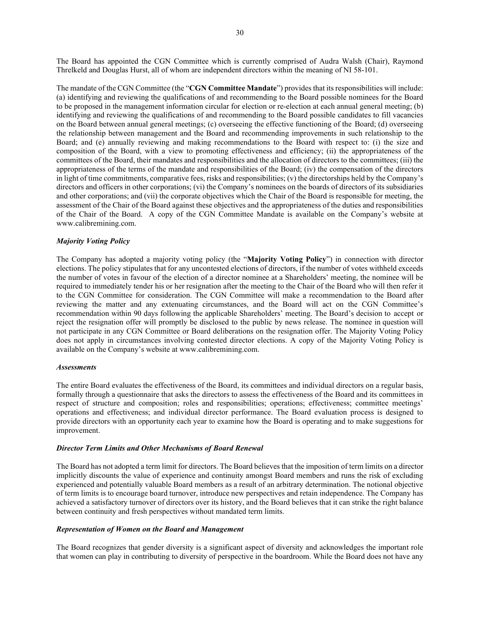The Board has appointed the CGN Committee which is currently comprised of Audra Walsh (Chair), Raymond Threlkeld and Douglas Hurst, all of whom are independent directors within the meaning of NI 58-101.

The mandate of the CGN Committee (the "**CGN Committee Mandate**") provides that its responsibilities will include: (a) identifying and reviewing the qualifications of and recommending to the Board possible nominees for the Board to be proposed in the management information circular for election or re-election at each annual general meeting; (b) identifying and reviewing the qualifications of and recommending to the Board possible candidates to fill vacancies on the Board between annual general meetings; (c) overseeing the effective functioning of the Board; (d) overseeing the relationship between management and the Board and recommending improvements in such relationship to the Board; and (e) annually reviewing and making recommendations to the Board with respect to: (i) the size and composition of the Board, with a view to promoting effectiveness and efficiency; (ii) the appropriateness of the committees of the Board, their mandates and responsibilities and the allocation of directors to the committees; (iii) the appropriateness of the terms of the mandate and responsibilities of the Board; (iv) the compensation of the directors in light of time commitments, comparative fees, risks and responsibilities; (v) the directorships held by the Company's directors and officers in other corporations; (vi) the Company's nominees on the boards of directors of its subsidiaries and other corporations; and (vii) the corporate objectives which the Chair of the Board is responsible for meeting, the assessment of the Chair of the Board against these objectives and the appropriateness of the duties and responsibilities of the Chair of the Board. A copy of the CGN Committee Mandate is available on the Company's website at www.calibremining.com.

## *Majority Voting Policy*

The Company has adopted a majority voting policy (the "**Majority Voting Policy**") in connection with director elections. The policy stipulates that for any uncontested elections of directors, if the number of votes withheld exceeds the number of votes in favour of the election of a director nominee at a Shareholders' meeting, the nominee will be required to immediately tender his or her resignation after the meeting to the Chair of the Board who will then refer it to the CGN Committee for consideration. The CGN Committee will make a recommendation to the Board after reviewing the matter and any extenuating circumstances, and the Board will act on the CGN Committee's recommendation within 90 days following the applicable Shareholders' meeting. The Board's decision to accept or reject the resignation offer will promptly be disclosed to the public by news release. The nominee in question will not participate in any CGN Committee or Board deliberations on the resignation offer. The Majority Voting Policy does not apply in circumstances involving contested director elections. A copy of the Majority Voting Policy is available on the Company's website at www.calibremining.com.

### *Assessments*

The entire Board evaluates the effectiveness of the Board, its committees and individual directors on a regular basis, formally through a questionnaire that asks the directors to assess the effectiveness of the Board and its committees in respect of structure and composition; roles and responsibilities; operations; effectiveness; committee meetings' operations and effectiveness; and individual director performance. The Board evaluation process is designed to provide directors with an opportunity each year to examine how the Board is operating and to make suggestions for improvement.

### *Director Term Limits and Other Mechanisms of Board Renewal*

The Board has not adopted a term limit for directors. The Board believes that the imposition of term limits on a director implicitly discounts the value of experience and continuity amongst Board members and runs the risk of excluding experienced and potentially valuable Board members as a result of an arbitrary determination. The notional objective of term limits is to encourage board turnover, introduce new perspectives and retain independence. The Company has achieved a satisfactory turnover of directors over its history, and the Board believes that it can strike the right balance between continuity and fresh perspectives without mandated term limits.

# *Representation of Women on the Board and Management*

The Board recognizes that gender diversity is a significant aspect of diversity and acknowledges the important role that women can play in contributing to diversity of perspective in the boardroom. While the Board does not have any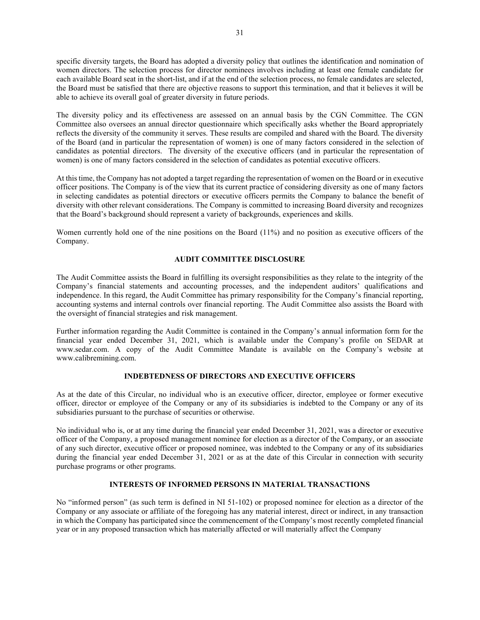specific diversity targets, the Board has adopted a diversity policy that outlines the identification and nomination of women directors. The selection process for director nominees involves including at least one female candidate for each available Board seat in the short-list, and if at the end of the selection process, no female candidates are selected, the Board must be satisfied that there are objective reasons to support this termination, and that it believes it will be able to achieve its overall goal of greater diversity in future periods.

The diversity policy and its effectiveness are assessed on an annual basis by the CGN Committee. The CGN Committee also oversees an annual director questionnaire which specifically asks whether the Board appropriately reflects the diversity of the community it serves. These results are compiled and shared with the Board. The diversity of the Board (and in particular the representation of women) is one of many factors considered in the selection of candidates as potential directors. The diversity of the executive officers (and in particular the representation of women) is one of many factors considered in the selection of candidates as potential executive officers.

At this time, the Company has not adopted a target regarding the representation of women on the Board or in executive officer positions. The Company is of the view that its current practice of considering diversity as one of many factors in selecting candidates as potential directors or executive officers permits the Company to balance the benefit of diversity with other relevant considerations. The Company is committed to increasing Board diversity and recognizes that the Board's background should represent a variety of backgrounds, experiences and skills.

Women currently hold one of the nine positions on the Board (11%) and no position as executive officers of the Company.

# **AUDIT COMMITTEE DISCLOSURE**

The Audit Committee assists the Board in fulfilling its oversight responsibilities as they relate to the integrity of the Company's financial statements and accounting processes, and the independent auditors' qualifications and independence. In this regard, the Audit Committee has primary responsibility for the Company's financial reporting, accounting systems and internal controls over financial reporting. The Audit Committee also assists the Board with the oversight of financial strategies and risk management.

Further information regarding the Audit Committee is contained in the Company's annual information form for the financial year ended December 31, 2021, which is available under the Company's profile on SEDAR at www.sedar.com. A copy of the Audit Committee Mandate is available on the Company's website at www.calibremining.com.

# **INDEBTEDNESS OF DIRECTORS AND EXECUTIVE OFFICERS**

As at the date of this Circular, no individual who is an executive officer, director, employee or former executive officer, director or employee of the Company or any of its subsidiaries is indebted to the Company or any of its subsidiaries pursuant to the purchase of securities or otherwise.

No individual who is, or at any time during the financial year ended December 31, 2021, was a director or executive officer of the Company, a proposed management nominee for election as a director of the Company, or an associate of any such director, executive officer or proposed nominee, was indebted to the Company or any of its subsidiaries during the financial year ended December 31, 2021 or as at the date of this Circular in connection with security purchase programs or other programs.

# **INTERESTS OF INFORMED PERSONS IN MATERIAL TRANSACTIONS**

No "informed person" (as such term is defined in NI 51-102) or proposed nominee for election as a director of the Company or any associate or affiliate of the foregoing has any material interest, direct or indirect, in any transaction in which the Company has participated since the commencement of the Company's most recently completed financial year or in any proposed transaction which has materially affected or will materially affect the Company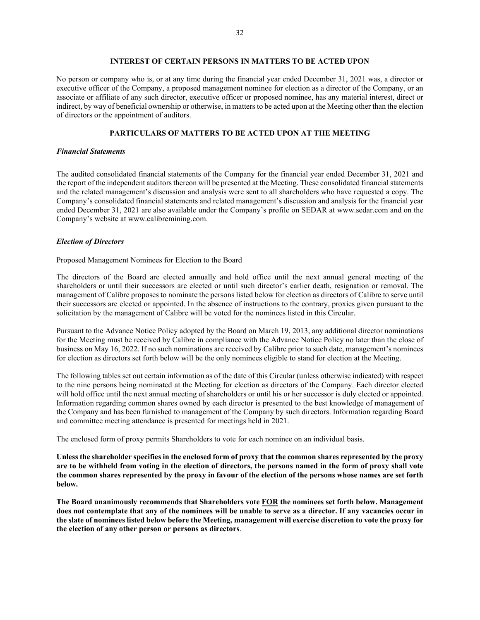# **INTEREST OF CERTAIN PERSONS IN MATTERS TO BE ACTED UPON**

No person or company who is, or at any time during the financial year ended December 31, 2021 was, a director or executive officer of the Company, a proposed management nominee for election as a director of the Company, or an associate or affiliate of any such director, executive officer or proposed nominee, has any material interest, direct or indirect, by way of beneficial ownership or otherwise, in matters to be acted upon at the Meeting other than the election of directors or the appointment of auditors.

# **PARTICULARS OF MATTERS TO BE ACTED UPON AT THE MEETING**

# *Financial Statements*

The audited consolidated financial statements of the Company for the financial year ended December 31, 2021 and the report of the independent auditors thereon will be presented at the Meeting. These consolidated financial statements and the related management's discussion and analysis were sent to all shareholders who have requested a copy. The Company's consolidated financial statements and related management's discussion and analysis for the financial year ended December 31, 2021 are also available under the Company's profile on SEDAR at www.sedar.com and on the Company's website at www.calibremining.com.

## *Election of Directors*

### Proposed Management Nominees for Election to the Board

The directors of the Board are elected annually and hold office until the next annual general meeting of the shareholders or until their successors are elected or until such director's earlier death, resignation or removal. The management of Calibre proposes to nominate the persons listed below for election as directors of Calibre to serve until their successors are elected or appointed. In the absence of instructions to the contrary, proxies given pursuant to the solicitation by the management of Calibre will be voted for the nominees listed in this Circular.

Pursuant to the Advance Notice Policy adopted by the Board on March 19, 2013, any additional director nominations for the Meeting must be received by Calibre in compliance with the Advance Notice Policy no later than the close of business on May 16, 2022. If no such nominations are received by Calibre prior to such date, management's nominees for election as directors set forth below will be the only nominees eligible to stand for election at the Meeting.

The following tables set out certain information as of the date of this Circular (unless otherwise indicated) with respect to the nine persons being nominated at the Meeting for election as directors of the Company. Each director elected will hold office until the next annual meeting of shareholders or until his or her successor is duly elected or appointed. Information regarding common shares owned by each director is presented to the best knowledge of management of the Company and has been furnished to management of the Company by such directors. Information regarding Board and committee meeting attendance is presented for meetings held in 2021.

The enclosed form of proxy permits Shareholders to vote for each nominee on an individual basis.

**Unless the shareholder specifies in the enclosed form of proxy that the common shares represented by the proxy are to be withheld from voting in the election of directors, the persons named in the form of proxy shall vote the common shares represented by the proxy in favour of the election of the persons whose names are set forth below.** 

**The Board unanimously recommends that Shareholders vote FOR the nominees set forth below. Management does not contemplate that any of the nominees will be unable to serve as a director. If any vacancies occur in the slate of nominees listed below before the Meeting, management will exercise discretion to vote the proxy for the election of any other person or persons as directors**.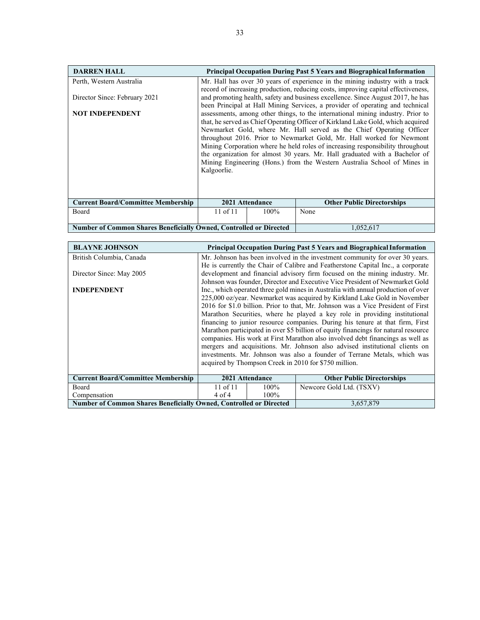| <b>DARREN HALL</b>                                                 |                                                                                                                                                                                                                                                                                                                                                                                                                                                                                                                                                                                  | <b>Principal Occupation During Past 5 Years and Biographical Information</b> |                                                                                                                                                                  |  |  |  |
|--------------------------------------------------------------------|----------------------------------------------------------------------------------------------------------------------------------------------------------------------------------------------------------------------------------------------------------------------------------------------------------------------------------------------------------------------------------------------------------------------------------------------------------------------------------------------------------------------------------------------------------------------------------|------------------------------------------------------------------------------|------------------------------------------------------------------------------------------------------------------------------------------------------------------|--|--|--|
| Perth, Western Australia                                           |                                                                                                                                                                                                                                                                                                                                                                                                                                                                                                                                                                                  |                                                                              | Mr. Hall has over 30 years of experience in the mining industry with a track                                                                                     |  |  |  |
|                                                                    |                                                                                                                                                                                                                                                                                                                                                                                                                                                                                                                                                                                  |                                                                              | record of increasing production, reducing costs, improving capital effectiveness,                                                                                |  |  |  |
| Director Since: February 2021                                      |                                                                                                                                                                                                                                                                                                                                                                                                                                                                                                                                                                                  |                                                                              | and promoting health, safety and business excellence. Since August 2017, he has<br>been Principal at Hall Mining Services, a provider of operating and technical |  |  |  |
| <b>NOT INDEPENDENT</b>                                             | assessments, among other things, to the international mining industry. Prior to<br>that, he served as Chief Operating Officer of Kirkland Lake Gold, which acquired<br>Newmarket Gold, where Mr. Hall served as the Chief Operating Officer<br>throughout 2016. Prior to Newmarket Gold, Mr. Hall worked for Newmont<br>Mining Corporation where he held roles of increasing responsibility throughout<br>the organization for almost 30 years. Mr. Hall graduated with a Bachelor of<br>Mining Engineering (Hons.) from the Western Australia School of Mines in<br>Kalgoorlie. |                                                                              |                                                                                                                                                                  |  |  |  |
| <b>Current Board/Committee Membership</b>                          |                                                                                                                                                                                                                                                                                                                                                                                                                                                                                                                                                                                  | 2021 Attendance                                                              | <b>Other Public Directorships</b>                                                                                                                                |  |  |  |
| Board                                                              | 11 of $11$<br>$100\%$<br>None                                                                                                                                                                                                                                                                                                                                                                                                                                                                                                                                                    |                                                                              |                                                                                                                                                                  |  |  |  |
| Number of Common Shares Beneficially Owned, Controlled or Directed |                                                                                                                                                                                                                                                                                                                                                                                                                                                                                                                                                                                  |                                                                              | 1,052,617                                                                                                                                                        |  |  |  |

| <b>BLAYNE JOHNSON</b>                                                     | <b>Principal Occupation During Past 5 Years and Biographical Information</b>      |                 |                                                                                     |  |  |  |  |
|---------------------------------------------------------------------------|-----------------------------------------------------------------------------------|-----------------|-------------------------------------------------------------------------------------|--|--|--|--|
| British Columbia, Canada                                                  |                                                                                   |                 | Mr. Johnson has been involved in the investment community for over 30 years.        |  |  |  |  |
|                                                                           | He is currently the Chair of Calibre and Featherstone Capital Inc., a corporate   |                 |                                                                                     |  |  |  |  |
| Director Since: May 2005                                                  | development and financial advisory firm focused on the mining industry. Mr.       |                 |                                                                                     |  |  |  |  |
|                                                                           |                                                                                   |                 | Johnson was founder, Director and Executive Vice President of Newmarket Gold        |  |  |  |  |
| <b>INDEPENDENT</b>                                                        | Inc., which operated three gold mines in Australia with annual production of over |                 |                                                                                     |  |  |  |  |
|                                                                           |                                                                                   |                 | 225,000 oz/year. Newmarket was acquired by Kirkland Lake Gold in November           |  |  |  |  |
|                                                                           |                                                                                   |                 | 2016 for \$1.0 billion. Prior to that, Mr. Johnson was a Vice President of First    |  |  |  |  |
|                                                                           |                                                                                   |                 | Marathon Securities, where he played a key role in providing institutional          |  |  |  |  |
|                                                                           |                                                                                   |                 | financing to junior resource companies. During his tenure at that firm, First       |  |  |  |  |
|                                                                           |                                                                                   |                 | Marathon participated in over \$5 billion of equity financings for natural resource |  |  |  |  |
|                                                                           |                                                                                   |                 | companies. His work at First Marathon also involved debt financings as well as      |  |  |  |  |
|                                                                           |                                                                                   |                 | mergers and acquisitions. Mr. Johnson also advised institutional clients on         |  |  |  |  |
|                                                                           |                                                                                   |                 | investments. Mr. Johnson was also a founder of Terrane Metals, which was            |  |  |  |  |
|                                                                           |                                                                                   |                 | acquired by Thompson Creek in 2010 for \$750 million.                               |  |  |  |  |
|                                                                           |                                                                                   |                 |                                                                                     |  |  |  |  |
| <b>Current Board/Committee Membership</b>                                 |                                                                                   | 2021 Attendance | <b>Other Public Directorships</b>                                                   |  |  |  |  |
| Board                                                                     | $11$ of $11$<br>100%                                                              |                 | Newcore Gold Ltd. (TSXV)                                                            |  |  |  |  |
| Compensation                                                              | $4$ of $4$<br>100%                                                                |                 |                                                                                     |  |  |  |  |
| <b>Number of Common Shares Beneficially Owned, Controlled or Directed</b> |                                                                                   |                 | 3,657,879                                                                           |  |  |  |  |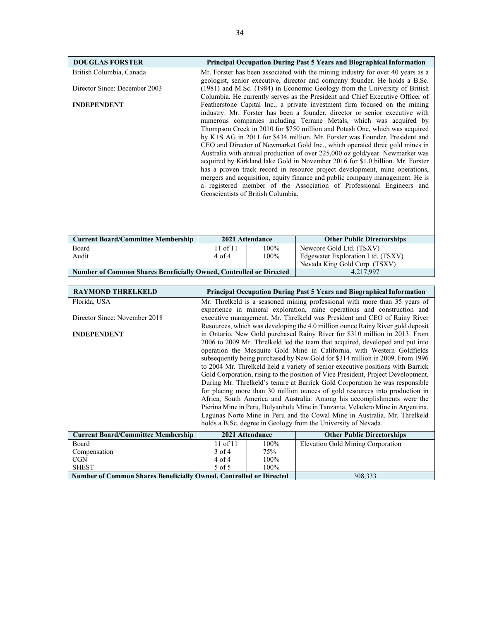| <b>DOUGLAS FORSTER</b>                                             |                                                                             |                                    | <b>Principal Occupation During Past 5 Years and Biographical Information</b>                                                                      |  |  |  |  |
|--------------------------------------------------------------------|-----------------------------------------------------------------------------|------------------------------------|---------------------------------------------------------------------------------------------------------------------------------------------------|--|--|--|--|
| British Columbia, Canada                                           |                                                                             |                                    | Mr. Forster has been associated with the mining industry for over 40 years as a                                                                   |  |  |  |  |
|                                                                    | geologist, senior executive, director and company founder. He holds a B.Sc. |                                    |                                                                                                                                                   |  |  |  |  |
| Director Since: December 2003                                      | (1981) and M.Sc. (1984) in Economic Geology from the University of British  |                                    |                                                                                                                                                   |  |  |  |  |
|                                                                    |                                                                             |                                    | Columbia. He currently serves as the President and Chief Executive Officer of                                                                     |  |  |  |  |
| <b>INDEPENDENT</b>                                                 |                                                                             |                                    | Featherstone Capital Inc., a private investment firm focused on the mining                                                                        |  |  |  |  |
|                                                                    |                                                                             |                                    | industry. Mr. Forster has been a founder, director or senior executive with                                                                       |  |  |  |  |
|                                                                    |                                                                             |                                    | numerous companies including Terrane Metals, which was acquired by<br>Thompson Creek in 2010 for \$750 million and Potash One, which was acquired |  |  |  |  |
|                                                                    |                                                                             |                                    | by K+S AG in 2011 for \$434 million. Mr. Forster was Founder, President and                                                                       |  |  |  |  |
|                                                                    |                                                                             |                                    | CEO and Director of Newmarket Gold Inc., which operated three gold mines in                                                                       |  |  |  |  |
|                                                                    |                                                                             |                                    | Australia with annual production of over 225,000 oz gold/year. Newmarket was                                                                      |  |  |  |  |
|                                                                    |                                                                             |                                    | acquired by Kirkland lake Gold in November 2016 for \$1.0 billion. Mr. Forster                                                                    |  |  |  |  |
|                                                                    |                                                                             |                                    | has a proven track record in resource project development, mine operations,                                                                       |  |  |  |  |
|                                                                    |                                                                             |                                    | mergers and acquisition, equity finance and public company management. He is                                                                      |  |  |  |  |
|                                                                    |                                                                             |                                    | a registered member of the Association of Professional Engineers and                                                                              |  |  |  |  |
|                                                                    |                                                                             | Geoscientists of British Columbia. |                                                                                                                                                   |  |  |  |  |
|                                                                    |                                                                             |                                    |                                                                                                                                                   |  |  |  |  |
|                                                                    |                                                                             |                                    |                                                                                                                                                   |  |  |  |  |
|                                                                    |                                                                             |                                    |                                                                                                                                                   |  |  |  |  |
|                                                                    |                                                                             |                                    |                                                                                                                                                   |  |  |  |  |
| <b>Current Board/Committee Membership</b>                          |                                                                             | 2021 Attendance                    | <b>Other Public Directorships</b>                                                                                                                 |  |  |  |  |
| Board                                                              | $11$ of $11$                                                                | 100%                               | Newcore Gold Ltd. (TSXV)                                                                                                                          |  |  |  |  |
| Audit                                                              | $4$ of $4$                                                                  | 100%                               | Edgewater Exploration Ltd. (TSXV)<br>Nevada King Gold Corp. (TSXV)                                                                                |  |  |  |  |
|                                                                    |                                                                             |                                    |                                                                                                                                                   |  |  |  |  |
| Number of Common Shares Beneficially Owned, Controlled or Directed |                                                                             |                                    | 4,217,997                                                                                                                                         |  |  |  |  |

| <b>RAYMOND THRELKELD</b>                                                  |                                                                                  |         | <b>Principal Occupation During Past 5 Years and Biographical Information</b>   |
|---------------------------------------------------------------------------|----------------------------------------------------------------------------------|---------|--------------------------------------------------------------------------------|
| Florida, USA                                                              | Mr. Threlkeld is a seasoned mining professional with more than 35 years of       |         |                                                                                |
|                                                                           |                                                                                  |         | experience in mineral exploration, mine operations and construction and        |
| Director Since: November 2018                                             |                                                                                  |         | executive management. Mr. Threlkeld was President and CEO of Rainy River       |
|                                                                           |                                                                                  |         | Resources, which was developing the 4.0 million ounce Rainy River gold deposit |
| <b>INDEPENDENT</b>                                                        | in Ontario. New Gold purchased Rainy River for \$310 million in 2013. From       |         |                                                                                |
|                                                                           | 2006 to 2009 Mr. Threlkeld led the team that acquired, developed and put into    |         |                                                                                |
|                                                                           | operation the Mesquite Gold Mine in California, with Western Goldfields          |         |                                                                                |
|                                                                           | subsequently being purchased by New Gold for \$314 million in 2009. From 1996    |         |                                                                                |
|                                                                           | to 2004 Mr. Threlkeld held a variety of senior executive positions with Barrick  |         |                                                                                |
|                                                                           | Gold Corporation, rising to the position of Vice President, Project Development. |         |                                                                                |
|                                                                           | During Mr. Threlkeld's tenure at Barrick Gold Corporation he was responsible     |         |                                                                                |
|                                                                           | for placing more than 30 million ounces of gold resources into production in     |         |                                                                                |
|                                                                           | Africa, South America and Australia. Among his accomplishments were the          |         |                                                                                |
|                                                                           | Pierina Mine in Peru, Bulyanhulu Mine in Tanzania, Veladero Mine in Argentina,   |         |                                                                                |
|                                                                           | Lagunas Norte Mine in Peru and the Cowal Mine in Australia. Mr. Threlkeld        |         |                                                                                |
|                                                                           | holds a B.Sc. degree in Geology from the University of Nevada.                   |         |                                                                                |
| <b>Current Board/Committee Membership</b>                                 | 2021 Attendance                                                                  |         | <b>Other Public Directorships</b>                                              |
| Board                                                                     | $11$ of $11$                                                                     | $100\%$ | <b>Elevation Gold Mining Corporation</b>                                       |
| Compensation                                                              | $3$ of 4                                                                         | 75%     |                                                                                |
| CGN                                                                       | 4 of 4                                                                           | 100%    |                                                                                |
| <b>SHEST</b>                                                              | 5 of 5                                                                           | 100%    |                                                                                |
| <b>Number of Common Shares Beneficially Owned, Controlled or Directed</b> |                                                                                  |         | 308,333                                                                        |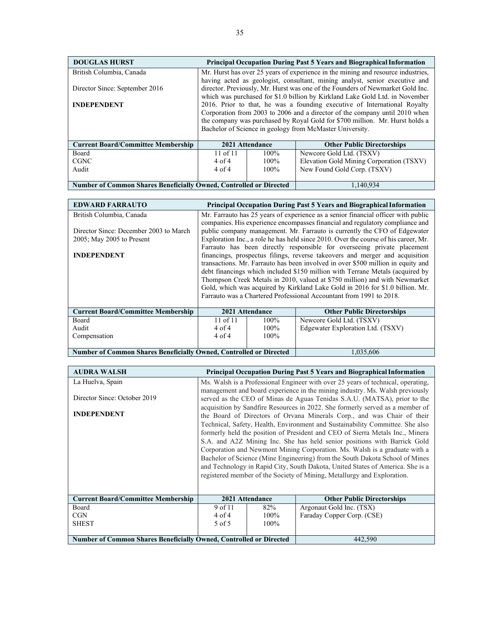| <b>DOUGLAS HURST</b>                      |                                                                                  |         | <b>Principal Occupation During Past 5 Years and Biographical Information</b> |
|-------------------------------------------|----------------------------------------------------------------------------------|---------|------------------------------------------------------------------------------|
| British Columbia, Canada                  | Mr. Hurst has over 25 years of experience in the mining and resource industries, |         |                                                                              |
|                                           | having acted as geologist, consultant, mining analyst, senior executive and      |         |                                                                              |
| Director Since: September 2016            | director. Previously, Mr. Hurst was one of the Founders of Newmarket Gold Inc.   |         |                                                                              |
|                                           | which was purchased for \$1.0 billion by Kirkland Lake Gold Ltd. in November     |         |                                                                              |
| <b>INDEPENDENT</b>                        | 2016. Prior to that, he was a founding executive of International Royalty        |         |                                                                              |
|                                           | Corporation from 2003 to 2006 and a director of the company until 2010 when      |         |                                                                              |
|                                           | the company was purchased by Royal Gold for \$700 million. Mr. Hurst holds a     |         |                                                                              |
|                                           | Bachelor of Science in geology from McMaster University.                         |         |                                                                              |
|                                           |                                                                                  |         |                                                                              |
| <b>Current Board/Committee Membership</b> | 2021 Attendance                                                                  |         | <b>Other Public Directorships</b>                                            |
| Board                                     | $11$ of $11$                                                                     | $100\%$ | Newcore Gold Ltd. (TSXV)                                                     |
| <b>CGNC</b>                               | $4$ of $4$                                                                       | $100\%$ | Elevation Gold Mining Corporation (TSXV)                                     |

100%

4 of 4

Number of Common Shares Beneficially Owned, Controlled or Directed 1,140,934

| <b>EDWARD FARRAUTO</b>                    | <b>Principal Occupation During Past 5 Years and Biographical Information</b>        |         |                                   |
|-------------------------------------------|-------------------------------------------------------------------------------------|---------|-----------------------------------|
| British Columbia, Canada                  | Mr. Farrauto has 25 years of experience as a senior financial officer with public   |         |                                   |
|                                           | companies. His experience encompasses financial and regulatory compliance and       |         |                                   |
| Director Since: December 2003 to March    | public company management. Mr. Farrauto is currently the CFO of Edgewater           |         |                                   |
| $2005$ ; May $2005$ to Present            | Exploration Inc., a role he has held since 2010. Over the course of his career, Mr. |         |                                   |
|                                           | Farrauto has been directly responsible for overseeing private placement             |         |                                   |
| <b>INDEPENDENT</b>                        | financings, prospectus filings, reverse takeovers and merger and acquisition        |         |                                   |
|                                           | transactions. Mr. Farrauto has been involved in over \$500 million in equity and    |         |                                   |
|                                           | debt financings which included \$150 million with Terrane Metals (acquired by       |         |                                   |
|                                           | Thompson Creek Metals in 2010, valued at \$750 million) and with Newmarket          |         |                                   |
|                                           | Gold, which was acquired by Kirkland Lake Gold in 2016 for \$1.0 billion. Mr.       |         |                                   |
|                                           | Farrauto was a Chartered Professional Accountant from 1991 to 2018.                 |         |                                   |
|                                           |                                                                                     |         |                                   |
| <b>Current Board/Committee Membership</b> | 2021 Attendance                                                                     |         | <b>Other Public Directorships</b> |
| <b>Board</b>                              | $11$ of $11$                                                                        | $100\%$ | Newcore Gold Ltd. (TSXV)          |
| Audit                                     | $4 \text{ of } 4$                                                                   | $100\%$ | Edgewater Exploration Ltd. (TSXV) |
| Compensation                              | $4$ of $4$                                                                          | $100\%$ |                                   |
|                                           |                                                                                     |         |                                   |

**Number of Common Shares Beneficially Owned, Controlled or Directed** 1,035,606

Audit

New Found Gold Corp. (TSXV)

| <b>AUDRA WALSH</b>                                                        |                                                                                  |      | <b>Principal Occupation During Past 5 Years and Biographical Information</b> |
|---------------------------------------------------------------------------|----------------------------------------------------------------------------------|------|------------------------------------------------------------------------------|
| La Huelva, Spain                                                          | Ms. Walsh is a Professional Engineer with over 25 years of technical, operating, |      |                                                                              |
|                                                                           |                                                                                  |      | management and board experience in the mining industry. Ms. Walsh previously |
| Director Since: October 2019                                              | served as the CEO of Minas de Aguas Tenidas S.A.U. (MATSA), prior to the         |      |                                                                              |
|                                                                           | acquisition by Sandfire Resources in 2022. She formerly served as a member of    |      |                                                                              |
| <b>INDEPENDENT</b>                                                        | the Board of Directors of Orvana Minerals Corp., and was Chair of their          |      |                                                                              |
|                                                                           | Technical, Safety, Health, Environment and Sustainability Committee. She also    |      |                                                                              |
|                                                                           | formerly held the position of President and CEO of Sierra Metals Inc., Minera    |      |                                                                              |
|                                                                           | S.A. and A2Z Mining Inc. She has held senior positions with Barrick Gold         |      |                                                                              |
|                                                                           | Corporation and Newmont Mining Corporation. Ms. Walsh is a graduate with a       |      |                                                                              |
|                                                                           | Bachelor of Science (Mine Engineering) from the South Dakota School of Mines     |      |                                                                              |
|                                                                           | and Technology in Rapid City, South Dakota, United States of America. She is a   |      |                                                                              |
|                                                                           | registered member of the Society of Mining, Metallurgy and Exploration.          |      |                                                                              |
|                                                                           |                                                                                  |      |                                                                              |
|                                                                           |                                                                                  |      |                                                                              |
| <b>Current Board/Committee Membership</b>                                 | 2021 Attendance                                                                  |      | <b>Other Public Directorships</b>                                            |
| Board                                                                     | 9 of 11                                                                          | 82%  | Argonaut Gold Inc. (TSX)                                                     |
| CGN                                                                       | $4$ of $4$                                                                       | 100% | Faraday Copper Corp. (CSE)                                                   |
| <b>SHEST</b>                                                              | 5 of 5                                                                           | 100% |                                                                              |
|                                                                           |                                                                                  |      |                                                                              |
| <b>Number of Common Shares Beneficially Owned, Controlled or Directed</b> |                                                                                  |      | 442,590                                                                      |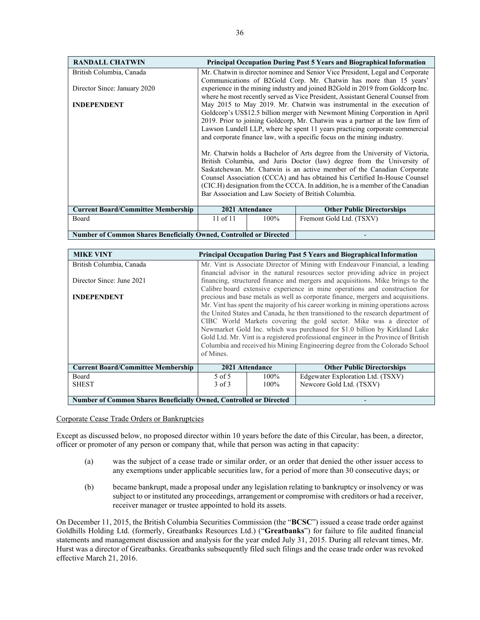| <b>RANDALL CHATWIN</b>                             |                                                                                                                                                                                                                                                                                                                                                                                                                                                                                                                                                                  |      | <b>Principal Occupation During Past 5 Years and Biographical Information</b> |  |
|----------------------------------------------------|------------------------------------------------------------------------------------------------------------------------------------------------------------------------------------------------------------------------------------------------------------------------------------------------------------------------------------------------------------------------------------------------------------------------------------------------------------------------------------------------------------------------------------------------------------------|------|------------------------------------------------------------------------------|--|
| British Columbia, Canada                           | Mr. Chatwin is director nominee and Senior Vice President, Legal and Corporate                                                                                                                                                                                                                                                                                                                                                                                                                                                                                   |      |                                                                              |  |
| Director Since: January 2020<br><b>INDEPENDENT</b> | Communications of B2Gold Corp. Mr. Chatwin has more than 15 years'<br>experience in the mining industry and joined B2Gold in 2019 from Goldcorp Inc.<br>where he most recently served as Vice President, Assistant General Counsel from<br>May 2015 to May 2019. Mr. Chatwin was instrumental in the execution of<br>Goldcorp's US\$12.5 billion merger with Newmont Mining Corporation in April<br>2019. Prior to joining Goldcorp, Mr. Chatwin was a partner at the law firm of<br>Lawson Lundell LLP, where he spent 11 years practicing corporate commercial |      |                                                                              |  |
|                                                    | and corporate finance law, with a specific focus on the mining industry.                                                                                                                                                                                                                                                                                                                                                                                                                                                                                         |      |                                                                              |  |
|                                                    | Mr. Chatwin holds a Bachelor of Arts degree from the University of Victoria,<br>British Columbia, and Juris Doctor (law) degree from the University of<br>Saskatchewan. Mr. Chatwin is an active member of the Canadian Corporate<br>Counsel Association (CCCA) and has obtained his Certified In-House Counsel<br>(CIC.H) designation from the CCCA. In addition, he is a member of the Canadian<br>Bar Association and Law Society of British Columbia.                                                                                                        |      |                                                                              |  |
| <b>Current Board/Committee Membership</b>          | 2021 Attendance                                                                                                                                                                                                                                                                                                                                                                                                                                                                                                                                                  |      | <b>Other Public Directorships</b>                                            |  |
| Board                                              | 11 of 11                                                                                                                                                                                                                                                                                                                                                                                                                                                                                                                                                         | 100% | Fremont Gold Ltd. (TSXV)                                                     |  |
|                                                    | <b>Number of Common Shares Beneficially Owned, Controlled or Directed</b>                                                                                                                                                                                                                                                                                                                                                                                                                                                                                        |      |                                                                              |  |

| <b>MIKE VINT</b>                                                   | <b>Principal Occupation During Past 5 Years and Biographical Information</b>              |      |                                   |  |
|--------------------------------------------------------------------|-------------------------------------------------------------------------------------------|------|-----------------------------------|--|
| British Columbia, Canada                                           | Mr. Vint is Associate Director of Mining with Endeavour Financial, a leading              |      |                                   |  |
|                                                                    | financial advisor in the natural resources sector providing advice in project             |      |                                   |  |
| Director Since: June 2021                                          | financing, structured finance and mergers and acquisitions. Mike brings to the            |      |                                   |  |
|                                                                    | Calibre board extensive experience in mine operations and construction for                |      |                                   |  |
| <b>INDEPENDENT</b>                                                 | precious and base metals as well as corporate finance, mergers and acquisitions.          |      |                                   |  |
|                                                                    | Mr. Vint has spent the majority of his career working in mining operations across         |      |                                   |  |
|                                                                    | the United States and Canada, he then transitioned to the research department of          |      |                                   |  |
|                                                                    | CIBC World Markets covering the gold sector. Mike was a director of                       |      |                                   |  |
|                                                                    | Newmarket Gold Inc. which was purchased for \$1.0 billion by Kirkland Lake                |      |                                   |  |
|                                                                    | Gold Ltd. Mr. Vint is a registered professional engineer in the Province of British       |      |                                   |  |
|                                                                    | Columbia and received his Mining Engineering degree from the Colorado School<br>of Mines. |      |                                   |  |
|                                                                    |                                                                                           |      |                                   |  |
|                                                                    |                                                                                           |      |                                   |  |
| <b>Current Board/Committee Membership</b>                          | 2021 Attendance                                                                           |      | <b>Other Public Directorships</b> |  |
| Board                                                              | 5 of 5                                                                                    | 100% | Edgewater Exploration Ltd. (TSXV) |  |
| <b>SHEST</b>                                                       | $3$ of $3$                                                                                | 100% | Newcore Gold Ltd. (TSXV)          |  |
|                                                                    |                                                                                           |      |                                   |  |
| Number of Common Shares Beneficially Owned, Controlled or Directed |                                                                                           |      |                                   |  |

Corporate Cease Trade Orders or Bankruptcies

Except as discussed below, no proposed director within 10 years before the date of this Circular, has been, a director, officer or promoter of any person or company that, while that person was acting in that capacity:

- (a) was the subject of a cease trade or similar order, or an order that denied the other issuer access to any exemptions under applicable securities law, for a period of more than 30 consecutive days; or
- (b) became bankrupt, made a proposal under any legislation relating to bankruptcy or insolvency or was subject to or instituted any proceedings, arrangement or compromise with creditors or had a receiver, receiver manager or trustee appointed to hold its assets.

On December 11, 2015, the British Columbia Securities Commission (the "**BCSC**") issued a cease trade order against Goldhills Holding Ltd. (formerly, Greatbanks Resources Ltd.) ("**Greatbanks**") for failure to file audited financial statements and management discussion and analysis for the year ended July 31, 2015. During all relevant times, Mr. Hurst was a director of Greatbanks. Greatbanks subsequently filed such filings and the cease trade order was revoked effective March 21, 2016.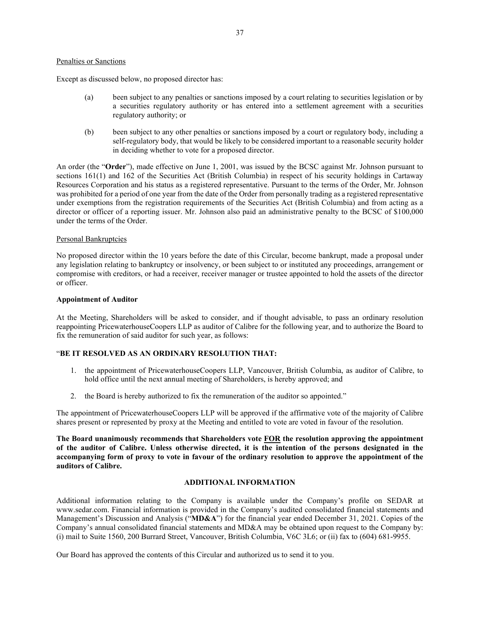### Penalties or Sanctions

Except as discussed below, no proposed director has:

- (a) been subject to any penalties or sanctions imposed by a court relating to securities legislation or by a securities regulatory authority or has entered into a settlement agreement with a securities regulatory authority; or
- (b) been subject to any other penalties or sanctions imposed by a court or regulatory body, including a self-regulatory body, that would be likely to be considered important to a reasonable security holder in deciding whether to vote for a proposed director.

An order (the "**Order**"), made effective on June 1, 2001, was issued by the BCSC against Mr. Johnson pursuant to sections 161(1) and 162 of the Securities Act (British Columbia) in respect of his security holdings in Cartaway Resources Corporation and his status as a registered representative. Pursuant to the terms of the Order, Mr. Johnson was prohibited for a period of one year from the date of the Order from personally trading as a registered representative under exemptions from the registration requirements of the Securities Act (British Columbia) and from acting as a director or officer of a reporting issuer. Mr. Johnson also paid an administrative penalty to the BCSC of \$100,000 under the terms of the Order.

### Personal Bankruptcies

No proposed director within the 10 years before the date of this Circular, become bankrupt, made a proposal under any legislation relating to bankruptcy or insolvency, or been subject to or instituted any proceedings, arrangement or compromise with creditors, or had a receiver, receiver manager or trustee appointed to hold the assets of the director or officer.

### **Appointment of Auditor**

At the Meeting, Shareholders will be asked to consider, and if thought advisable, to pass an ordinary resolution reappointing PricewaterhouseCoopers LLP as auditor of Calibre for the following year, and to authorize the Board to fix the remuneration of said auditor for such year, as follows:

# "**BE IT RESOLVED AS AN ORDINARY RESOLUTION THAT:**

- 1. the appointment of PricewaterhouseCoopers LLP, Vancouver, British Columbia, as auditor of Calibre, to hold office until the next annual meeting of Shareholders, is hereby approved; and
- 2. the Board is hereby authorized to fix the remuneration of the auditor so appointed."

The appointment of PricewaterhouseCoopers LLP will be approved if the affirmative vote of the majority of Calibre shares present or represented by proxy at the Meeting and entitled to vote are voted in favour of the resolution.

**The Board unanimously recommends that Shareholders vote FOR the resolution approving the appointment of the auditor of Calibre. Unless otherwise directed, it is the intention of the persons designated in the accompanying form of proxy to vote in favour of the ordinary resolution to approve the appointment of the auditors of Calibre.**

# **ADDITIONAL INFORMATION**

Additional information relating to the Company is available under the Company's profile on SEDAR at www.sedar.com. Financial information is provided in the Company's audited consolidated financial statements and Management's Discussion and Analysis ("**MD&A**") for the financial year ended December 31, 2021. Copies of the Company's annual consolidated financial statements and MD&A may be obtained upon request to the Company by: (i) mail to Suite 1560, 200 Burrard Street, Vancouver, British Columbia, V6C 3L6; or (ii) fax to (604) 681-9955.

Our Board has approved the contents of this Circular and authorized us to send it to you.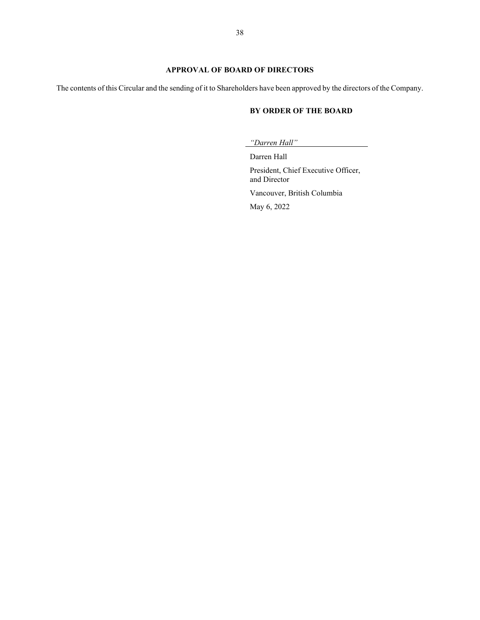# **APPROVAL OF BOARD OF DIRECTORS**

The contents of this Circular and the sending of it to Shareholders have been approved by the directors of the Company.

# **BY ORDER OF THE BOARD**

*"Darren Hall"*

Darren Hall President, Chief Executive Officer, and Director Vancouver, British Columbia May 6, 2022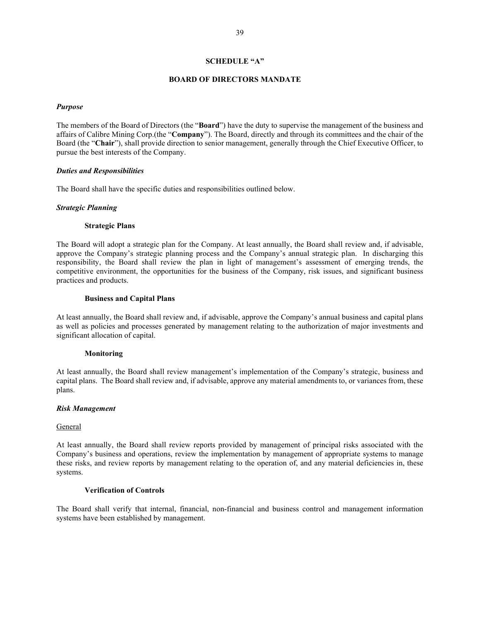### **SCHEDULE "A"**

### **BOARD OF DIRECTORS MANDATE**

### *Purpose*

The members of the Board of Directors (the "**Board**") have the duty to supervise the management of the business and affairs of Calibre Mining Corp.(the "**Company**"). The Board, directly and through its committees and the chair of the Board (the "**Chair**"), shall provide direction to senior management, generally through the Chief Executive Officer, to pursue the best interests of the Company.

### *Duties and Responsibilities*

The Board shall have the specific duties and responsibilities outlined below.

### *Strategic Planning*

### **Strategic Plans**

The Board will adopt a strategic plan for the Company. At least annually, the Board shall review and, if advisable, approve the Company's strategic planning process and the Company's annual strategic plan. In discharging this responsibility, the Board shall review the plan in light of management's assessment of emerging trends, the competitive environment, the opportunities for the business of the Company, risk issues, and significant business practices and products.

### **Business and Capital Plans**

At least annually, the Board shall review and, if advisable, approve the Company's annual business and capital plans as well as policies and processes generated by management relating to the authorization of major investments and significant allocation of capital.

### **Monitoring**

At least annually, the Board shall review management's implementation of the Company's strategic, business and capital plans. The Board shall review and, if advisable, approve any material amendments to, or variances from, these plans.

### *Risk Management*

### **General**

At least annually, the Board shall review reports provided by management of principal risks associated with the Company's business and operations, review the implementation by management of appropriate systems to manage these risks, and review reports by management relating to the operation of, and any material deficiencies in, these systems.

### **Verification of Controls**

The Board shall verify that internal, financial, non-financial and business control and management information systems have been established by management.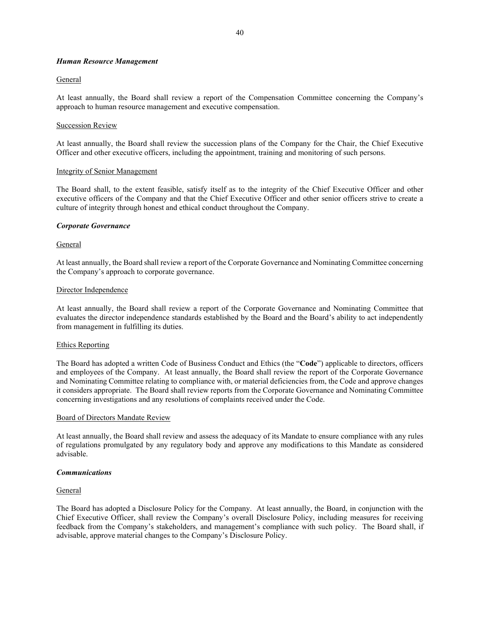# *Human Resource Management*

## General

At least annually, the Board shall review a report of the Compensation Committee concerning the Company's approach to human resource management and executive compensation.

## **Succession Review**

At least annually, the Board shall review the succession plans of the Company for the Chair, the Chief Executive Officer and other executive officers, including the appointment, training and monitoring of such persons.

### Integrity of Senior Management

The Board shall, to the extent feasible, satisfy itself as to the integrity of the Chief Executive Officer and other executive officers of the Company and that the Chief Executive Officer and other senior officers strive to create a culture of integrity through honest and ethical conduct throughout the Company.

## *Corporate Governance*

## General

At least annually, the Board shall review a report of the Corporate Governance and Nominating Committee concerning the Company's approach to corporate governance.

## Director Independence

At least annually, the Board shall review a report of the Corporate Governance and Nominating Committee that evaluates the director independence standards established by the Board and the Board's ability to act independently from management in fulfilling its duties.

## Ethics Reporting

The Board has adopted a written Code of Business Conduct and Ethics (the "**Code**") applicable to directors, officers and employees of the Company. At least annually, the Board shall review the report of the Corporate Governance and Nominating Committee relating to compliance with, or material deficiencies from, the Code and approve changes it considers appropriate. The Board shall review reports from the Corporate Governance and Nominating Committee concerning investigations and any resolutions of complaints received under the Code.

## Board of Directors Mandate Review

At least annually, the Board shall review and assess the adequacy of its Mandate to ensure compliance with any rules of regulations promulgated by any regulatory body and approve any modifications to this Mandate as considered advisable.

## *Communications*

## General

The Board has adopted a Disclosure Policy for the Company. At least annually, the Board, in conjunction with the Chief Executive Officer, shall review the Company's overall Disclosure Policy, including measures for receiving feedback from the Company's stakeholders, and management's compliance with such policy. The Board shall, if advisable, approve material changes to the Company's Disclosure Policy.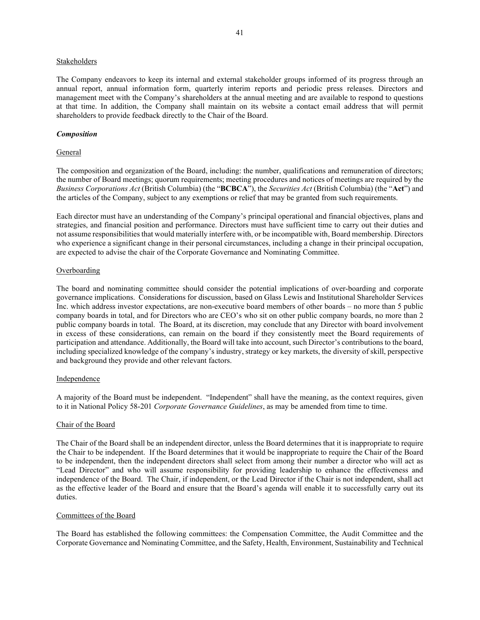### **Stakeholders**

The Company endeavors to keep its internal and external stakeholder groups informed of its progress through an annual report, annual information form, quarterly interim reports and periodic press releases. Directors and management meet with the Company's shareholders at the annual meeting and are available to respond to questions at that time. In addition, the Company shall maintain on its website a contact email address that will permit shareholders to provide feedback directly to the Chair of the Board.

### *Composition*

### General

The composition and organization of the Board, including: the number, qualifications and remuneration of directors; the number of Board meetings; quorum requirements; meeting procedures and notices of meetings are required by the *Business Corporations Act* (British Columbia) (the "**BCBCA**"), the *Securities Act* (British Columbia) (the "**Act**") and the articles of the Company, subject to any exemptions or relief that may be granted from such requirements.

Each director must have an understanding of the Company's principal operational and financial objectives, plans and strategies, and financial position and performance. Directors must have sufficient time to carry out their duties and not assume responsibilities that would materially interfere with, or be incompatible with, Board membership. Directors who experience a significant change in their personal circumstances, including a change in their principal occupation, are expected to advise the chair of the Corporate Governance and Nominating Committee.

## Overboarding

The board and nominating committee should consider the potential implications of over-boarding and corporate governance implications. Considerations for discussion, based on Glass Lewis and Institutional Shareholder Services Inc. which address investor expectations, are non-executive board members of other boards – no more than 5 public company boards in total, and for Directors who are CEO's who sit on other public company boards, no more than 2 public company boards in total. The Board, at its discretion, may conclude that any Director with board involvement in excess of these considerations, can remain on the board if they consistently meet the Board requirements of participation and attendance. Additionally, the Board will take into account, such Director's contributions to the board, including specialized knowledge of the company's industry, strategy or key markets, the diversity of skill, perspective and background they provide and other relevant factors.

## Independence

A majority of the Board must be independent. "Independent" shall have the meaning, as the context requires, given to it in National Policy 58-201 *Corporate Governance Guidelines*, as may be amended from time to time.

## Chair of the Board

The Chair of the Board shall be an independent director, unless the Board determines that it is inappropriate to require the Chair to be independent. If the Board determines that it would be inappropriate to require the Chair of the Board to be independent, then the independent directors shall select from among their number a director who will act as "Lead Director" and who will assume responsibility for providing leadership to enhance the effectiveness and independence of the Board. The Chair, if independent, or the Lead Director if the Chair is not independent, shall act as the effective leader of the Board and ensure that the Board's agenda will enable it to successfully carry out its duties.

## Committees of the Board

The Board has established the following committees: the Compensation Committee, the Audit Committee and the Corporate Governance and Nominating Committee, and the Safety, Health, Environment, Sustainability and Technical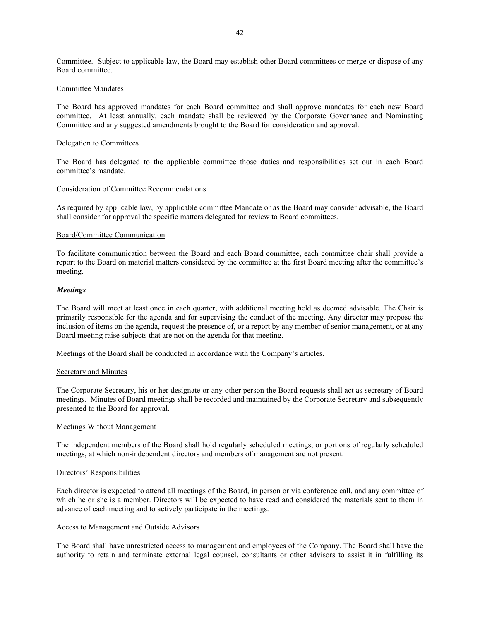Committee. Subject to applicable law, the Board may establish other Board committees or merge or dispose of any Board committee.

### Committee Mandates

The Board has approved mandates for each Board committee and shall approve mandates for each new Board committee. At least annually, each mandate shall be reviewed by the Corporate Governance and Nominating Committee and any suggested amendments brought to the Board for consideration and approval.

### Delegation to Committees

The Board has delegated to the applicable committee those duties and responsibilities set out in each Board committee's mandate.

### Consideration of Committee Recommendations

As required by applicable law, by applicable committee Mandate or as the Board may consider advisable, the Board shall consider for approval the specific matters delegated for review to Board committees.

### Board/Committee Communication

To facilitate communication between the Board and each Board committee, each committee chair shall provide a report to the Board on material matters considered by the committee at the first Board meeting after the committee's meeting.

### *Meetings*

The Board will meet at least once in each quarter, with additional meeting held as deemed advisable. The Chair is primarily responsible for the agenda and for supervising the conduct of the meeting. Any director may propose the inclusion of items on the agenda, request the presence of, or a report by any member of senior management, or at any Board meeting raise subjects that are not on the agenda for that meeting.

Meetings of the Board shall be conducted in accordance with the Company's articles.

### Secretary and Minutes

The Corporate Secretary, his or her designate or any other person the Board requests shall act as secretary of Board meetings. Minutes of Board meetings shall be recorded and maintained by the Corporate Secretary and subsequently presented to the Board for approval.

### Meetings Without Management

The independent members of the Board shall hold regularly scheduled meetings, or portions of regularly scheduled meetings, at which non-independent directors and members of management are not present.

### Directors' Responsibilities

Each director is expected to attend all meetings of the Board, in person or via conference call, and any committee of which he or she is a member. Directors will be expected to have read and considered the materials sent to them in advance of each meeting and to actively participate in the meetings.

### Access to Management and Outside Advisors

The Board shall have unrestricted access to management and employees of the Company. The Board shall have the authority to retain and terminate external legal counsel, consultants or other advisors to assist it in fulfilling its